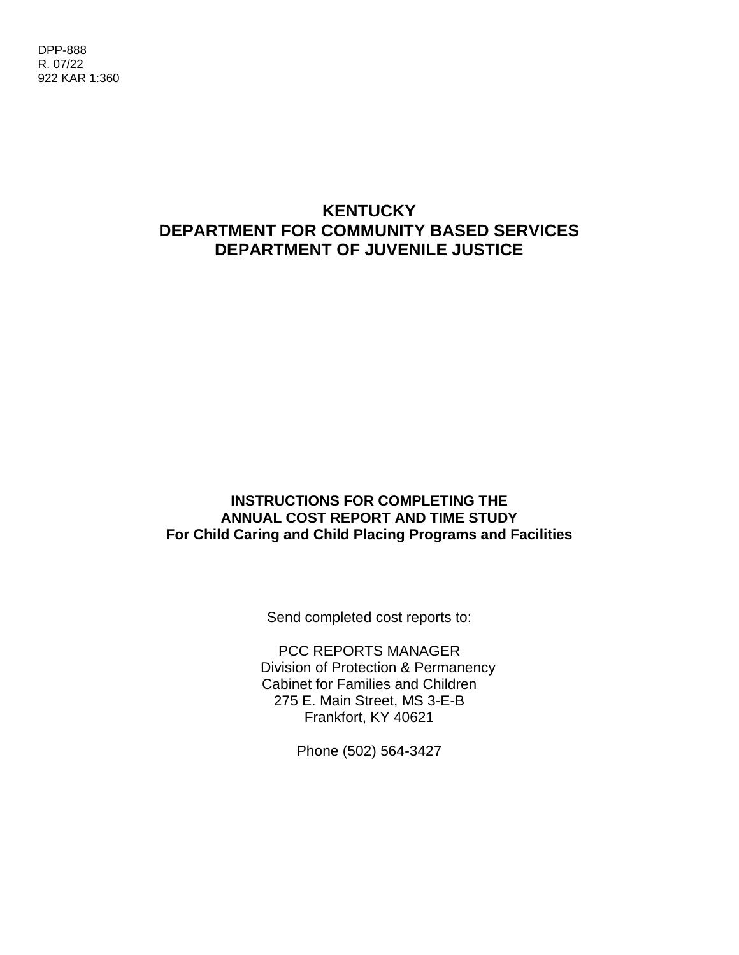# **KENTUCKY DEPARTMENT FOR COMMUNITY BASED SERVICES DEPARTMENT OF JUVENILE JUSTICE**

#### **INSTRUCTIONS FOR COMPLETING THE ANNUAL COST REPORT AND TIME STUDY For Child Caring and Child Placing Programs and Facilities**

Send completed cost reports to:

PCC REPORTS MANAGER Division of Protection & Permanency Cabinet for Families and Children 275 E. Main Street, MS 3-E-B Frankfort, KY 40621

Phone (502) 564-3427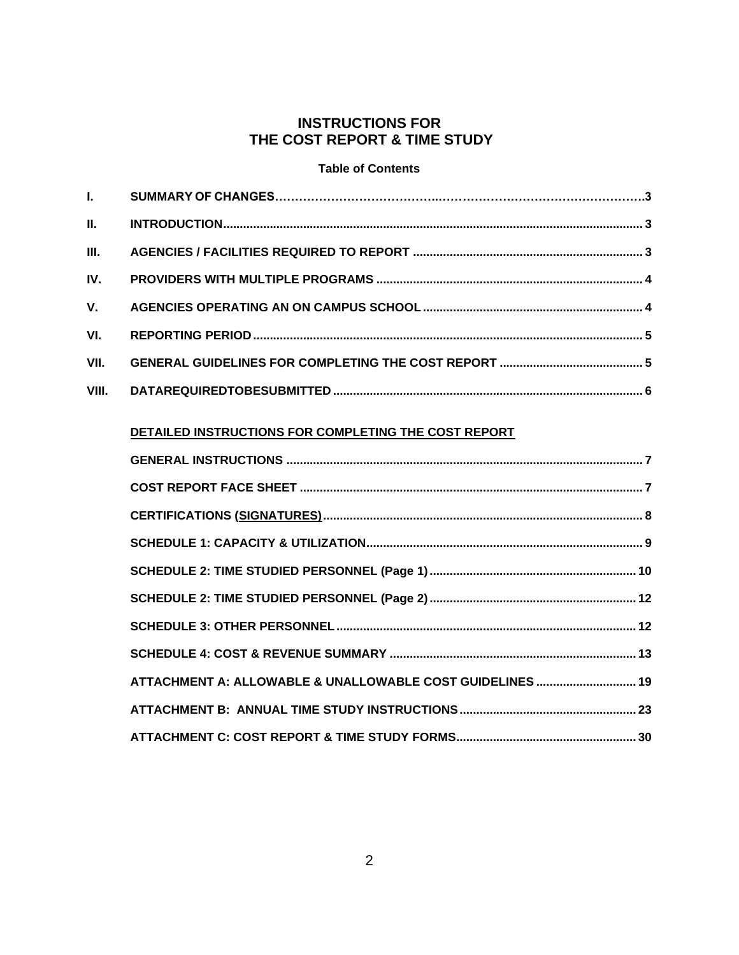### **INSTRUCTIONS FOR THE COST REPORT & TIME STUDY**

#### **Table of Contents**

| Ī.    |                                                           |  |
|-------|-----------------------------------------------------------|--|
| П.    |                                                           |  |
| Ш.    |                                                           |  |
| IV.   |                                                           |  |
| V.    |                                                           |  |
| VI.   |                                                           |  |
| VII.  |                                                           |  |
| VIII. |                                                           |  |
|       |                                                           |  |
|       | DETAILED INSTRUCTIONS FOR COMPLETING THE COST REPORT      |  |
|       |                                                           |  |
|       |                                                           |  |
|       |                                                           |  |
|       |                                                           |  |
|       |                                                           |  |
|       |                                                           |  |
|       |                                                           |  |
|       |                                                           |  |
|       | ATTACHMENT A: ALLOWABLE & UNALLOWABLE COST GUIDELINES  19 |  |
|       |                                                           |  |
|       |                                                           |  |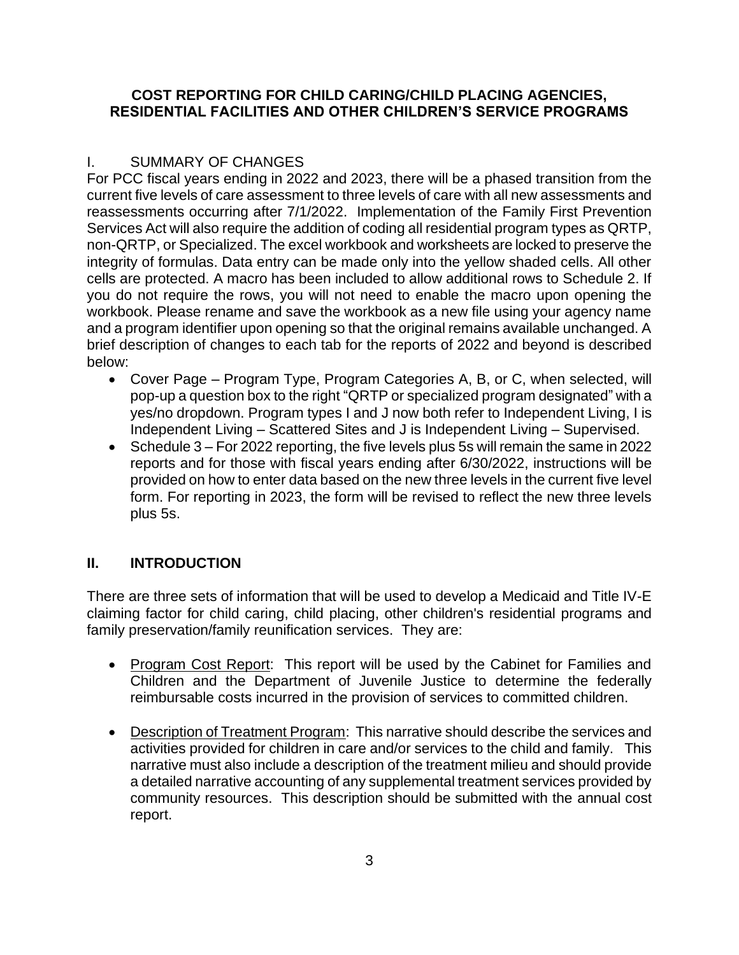#### **COST REPORTING FOR CHILD CARING/CHILD PLACING AGENCIES, RESIDENTIAL FACILITIES AND OTHER CHILDREN'S SERVICE PROGRAMS**

### I. SUMMARY OF CHANGES

For PCC fiscal years ending in 2022 and 2023, there will be a phased transition from the current five levels of care assessment to three levels of care with all new assessments and reassessments occurring after 7/1/2022. Implementation of the Family First Prevention Services Act will also require the addition of coding all residential program types as QRTP, non-QRTP, or Specialized. The excel workbook and worksheets are locked to preserve the integrity of formulas. Data entry can be made only into the yellow shaded cells. All other cells are protected. A macro has been included to allow additional rows to Schedule 2. If you do not require the rows, you will not need to enable the macro upon opening the workbook. Please rename and save the workbook as a new file using your agency name and a program identifier upon opening so that the original remains available unchanged. A brief description of changes to each tab for the reports of 2022 and beyond is described below:

- Cover Page Program Type, Program Categories A, B, or C, when selected, will pop-up a question box to the right "QRTP or specialized program designated" with a yes/no dropdown. Program types I and J now both refer to Independent Living, I is Independent Living – Scattered Sites and J is Independent Living – Supervised.
- Schedule 3 For 2022 reporting, the five levels plus 5s will remain the same in 2022 reports and for those with fiscal years ending after 6/30/2022, instructions will be provided on how to enter data based on the new three levels in the current five level form. For reporting in 2023, the form will be revised to reflect the new three levels plus 5s.

## **II. INTRODUCTION**

There are three sets of information that will be used to develop a Medicaid and Title IV-E claiming factor for child caring, child placing, other children's residential programs and family preservation/family reunification services. They are:

- Program Cost Report: This report will be used by the Cabinet for Families and Children and the Department of Juvenile Justice to determine the federally reimbursable costs incurred in the provision of services to committed children.
- Description of Treatment Program: This narrative should describe the services and activities provided for children in care and/or services to the child and family. This narrative must also include a description of the treatment milieu and should provide a detailed narrative accounting of any supplemental treatment services provided by community resources. This description should be submitted with the annual cost report.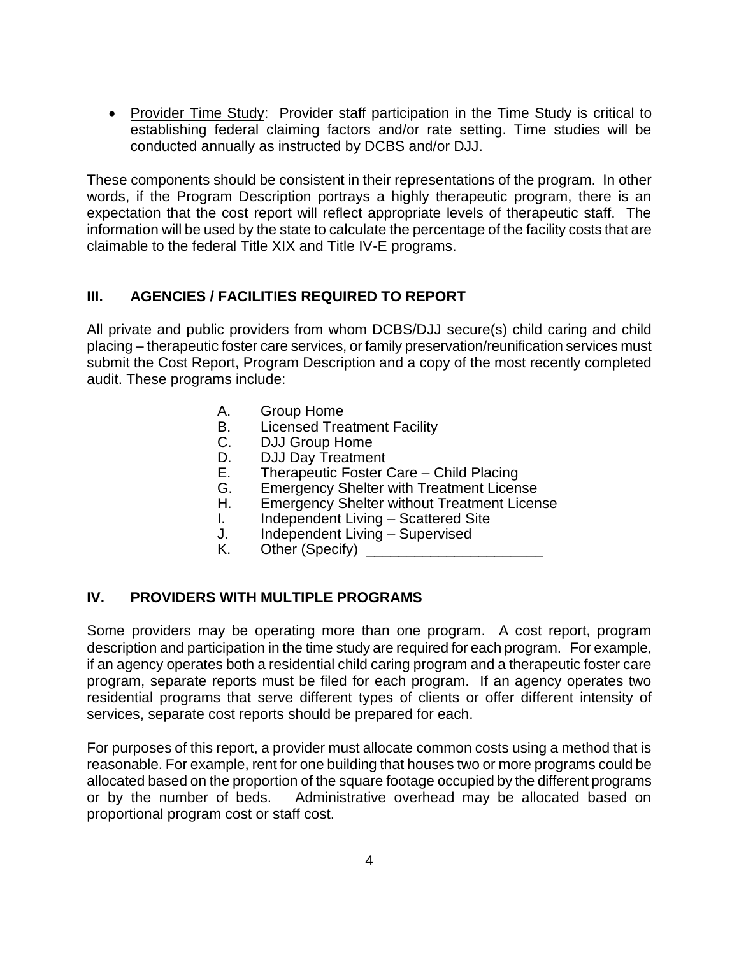• Provider Time Study: Provider staff participation in the Time Study is critical to establishing federal claiming factors and/or rate setting. Time studies will be conducted annually as instructed by DCBS and/or DJJ.

These components should be consistent in their representations of the program. In other words, if the Program Description portrays a highly therapeutic program, there is an expectation that the cost report will reflect appropriate levels of therapeutic staff. The information will be used by the state to calculate the percentage of the facility costs that are claimable to the federal Title XIX and Title IV-E programs.

## **III. AGENCIES / FACILITIES REQUIRED TO REPORT**

All private and public providers from whom DCBS/DJJ secure(s) child caring and child placing – therapeutic foster care services, or family preservation/reunification services must submit the Cost Report, Program Description and a copy of the most recently completed audit. These programs include:

- A. Group Home
- B. Licensed Treatment Facility
- C. DJJ Group Home<br>D. D.JJ Day Treatmer
- DJJ Day Treatment
- E. Therapeutic Foster Care Child Placing
- G. Emergency Shelter with Treatment License
- H. Emergency Shelter without Treatment License
- I. Independent Living Scattered Site
- J. Independent Living Supervised
- K. Other (Specify)

### **IV. PROVIDERS WITH MULTIPLE PROGRAMS**

Some providers may be operating more than one program. A cost report, program description and participation in the time study are required for each program. For example, if an agency operates both a residential child caring program and a therapeutic foster care program, separate reports must be filed for each program. If an agency operates two residential programs that serve different types of clients or offer different intensity of services, separate cost reports should be prepared for each.

For purposes of this report, a provider must allocate common costs using a method that is reasonable. For example, rent for one building that houses two or more programs could be allocated based on the proportion of the square footage occupied by the different programs or by the number of beds. Administrative overhead may be allocated based on proportional program cost or staff cost.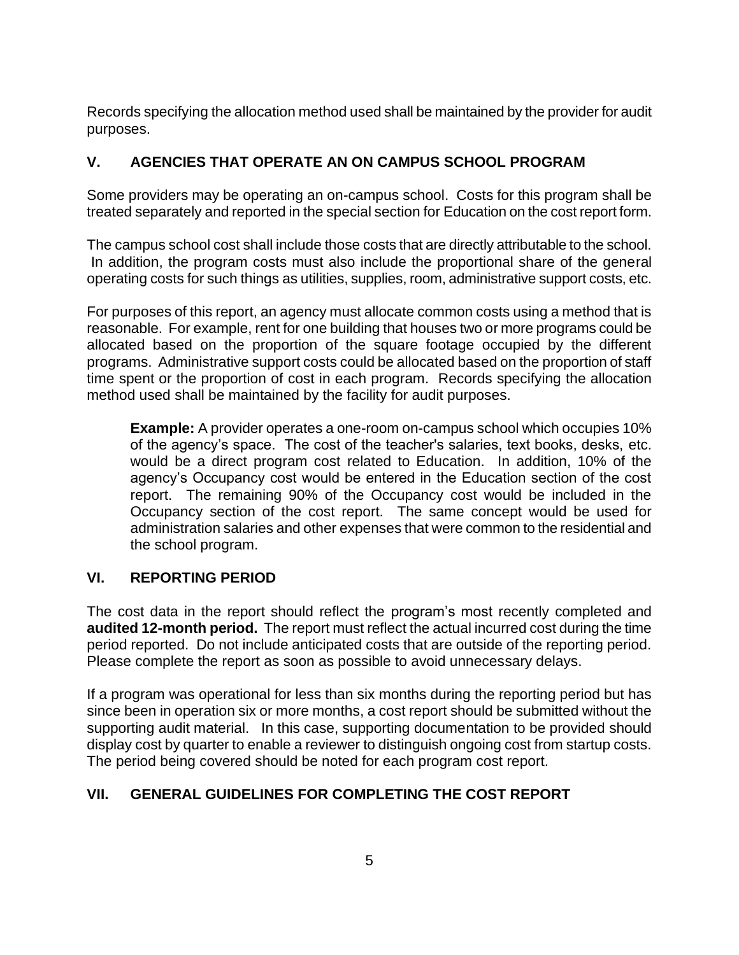Records specifying the allocation method used shall be maintained by the provider for audit purposes.

## **V. AGENCIES THAT OPERATE AN ON CAMPUS SCHOOL PROGRAM**

Some providers may be operating an on-campus school. Costs for this program shall be treated separately and reported in the special section for Education on the cost report form.

The campus school cost shall include those costs that are directly attributable to the school. In addition, the program costs must also include the proportional share of the general operating costs for such things as utilities, supplies, room, administrative support costs, etc.

For purposes of this report, an agency must allocate common costs using a method that is reasonable. For example, rent for one building that houses two or more programs could be allocated based on the proportion of the square footage occupied by the different programs. Administrative support costs could be allocated based on the proportion of staff time spent or the proportion of cost in each program. Records specifying the allocation method used shall be maintained by the facility for audit purposes.

**Example:** A provider operates a one-room on-campus school which occupies 10% of the agency's space. The cost of the teacher's salaries, text books, desks, etc. would be a direct program cost related to Education. In addition, 10% of the agency's Occupancy cost would be entered in the Education section of the cost report. The remaining 90% of the Occupancy cost would be included in the Occupancy section of the cost report. The same concept would be used for administration salaries and other expenses that were common to the residential and the school program.

## **VI. REPORTING PERIOD**

The cost data in the report should reflect the program's most recently completed and **audited 12-month period.** The report must reflect the actual incurred cost during the time period reported. Do not include anticipated costs that are outside of the reporting period. Please complete the report as soon as possible to avoid unnecessary delays.

If a program was operational for less than six months during the reporting period but has since been in operation six or more months, a cost report should be submitted without the supporting audit material. In this case, supporting documentation to be provided should display cost by quarter to enable a reviewer to distinguish ongoing cost from startup costs. The period being covered should be noted for each program cost report.

## **VII. GENERAL GUIDELINES FOR COMPLETING THE COST REPORT**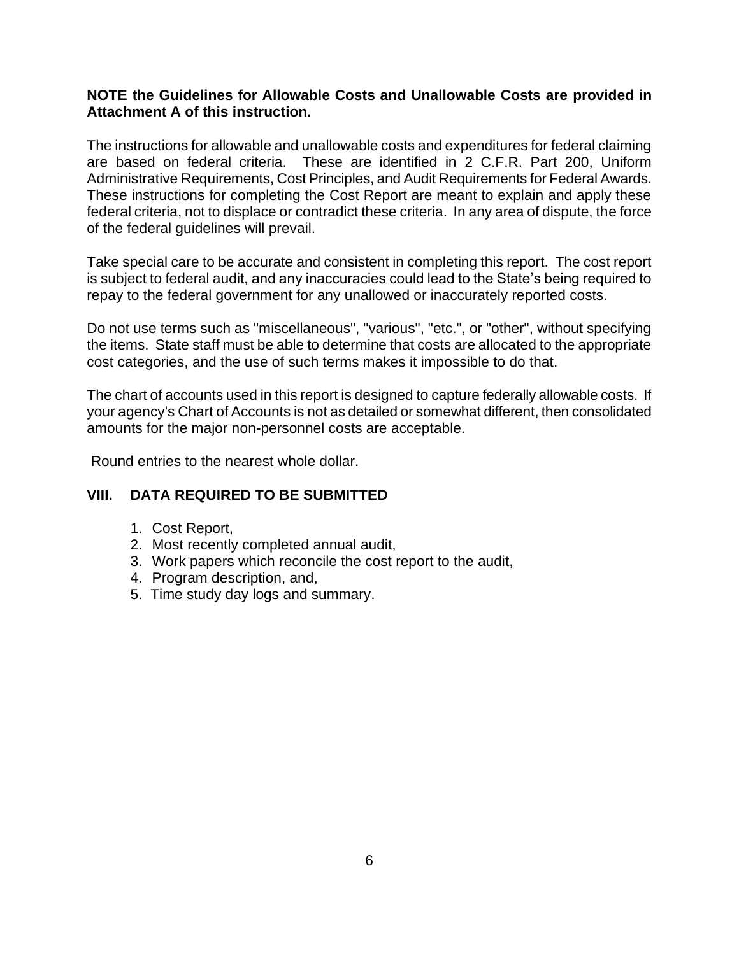#### **NOTE the Guidelines for Allowable Costs and Unallowable Costs are provided in Attachment A of this instruction.**

The instructions for allowable and unallowable costs and expenditures for federal claiming are based on federal criteria. These are identified in 2 C.F.R. Part 200, Uniform Administrative Requirements, Cost Principles, and Audit Requirements for Federal Awards. These instructions for completing the Cost Report are meant to explain and apply these federal criteria, not to displace or contradict these criteria. In any area of dispute, the force of the federal guidelines will prevail.

Take special care to be accurate and consistent in completing this report. The cost report is subject to federal audit, and any inaccuracies could lead to the State's being required to repay to the federal government for any unallowed or inaccurately reported costs.

Do not use terms such as "miscellaneous", "various", "etc.", or "other", without specifying the items. State staff must be able to determine that costs are allocated to the appropriate cost categories, and the use of such terms makes it impossible to do that.

The chart of accounts used in this report is designed to capture federally allowable costs. If your agency's Chart of Accounts is not as detailed or somewhat different, then consolidated amounts for the major non-personnel costs are acceptable.

Round entries to the nearest whole dollar.

#### **VIII. DATA REQUIRED TO BE SUBMITTED**

- 1. Cost Report,
- 2. Most recently completed annual audit,
- 3. Work papers which reconcile the cost report to the audit,
- 4. Program description, and,
- 5. Time study day logs and summary.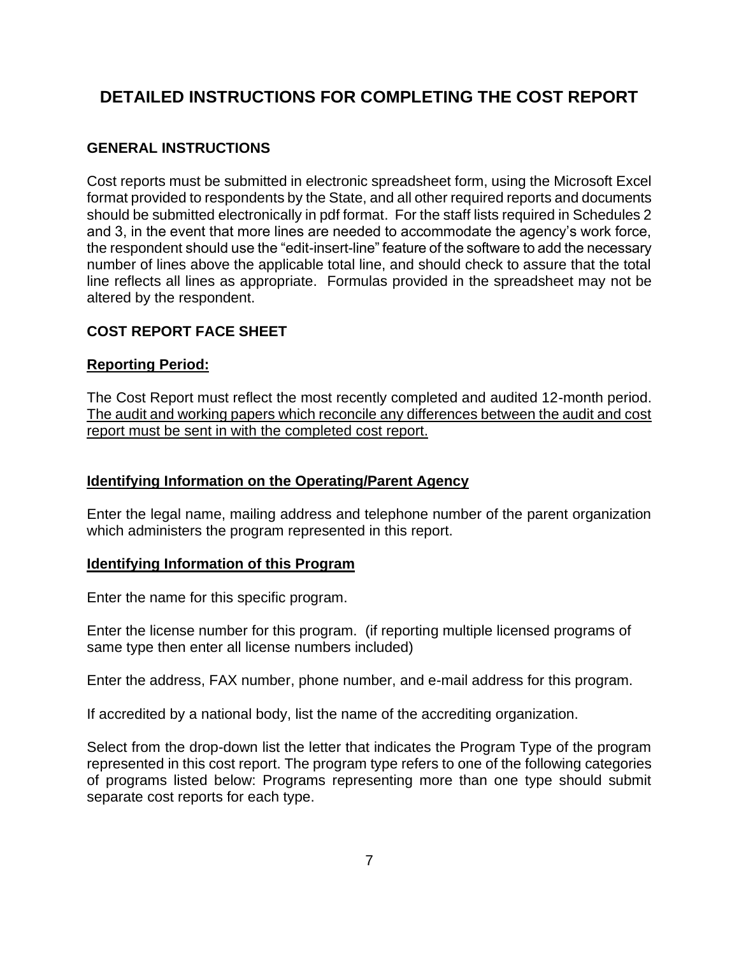# **DETAILED INSTRUCTIONS FOR COMPLETING THE COST REPORT**

## **GENERAL INSTRUCTIONS**

Cost reports must be submitted in electronic spreadsheet form, using the Microsoft Excel format provided to respondents by the State, and all other required reports and documents should be submitted electronically in pdf format. For the staff lists required in Schedules 2 and 3, in the event that more lines are needed to accommodate the agency's work force, the respondent should use the "edit-insert-line" feature of the software to add the necessary number of lines above the applicable total line, and should check to assure that the total line reflects all lines as appropriate. Formulas provided in the spreadsheet may not be altered by the respondent.

## **COST REPORT FACE SHEET**

### **Reporting Period:**

The Cost Report must reflect the most recently completed and audited 12-month period. The audit and working papers which reconcile any differences between the audit and cost report must be sent in with the completed cost report.

## **Identifying Information on the Operating/Parent Agency**

Enter the legal name, mailing address and telephone number of the parent organization which administers the program represented in this report.

#### **Identifying Information of this Program**

Enter the name for this specific program.

Enter the license number for this program. (if reporting multiple licensed programs of same type then enter all license numbers included)

Enter the address, FAX number, phone number, and e-mail address for this program.

If accredited by a national body, list the name of the accrediting organization.

Select from the drop-down list the letter that indicates the Program Type of the program represented in this cost report. The program type refers to one of the following categories of programs listed below: Programs representing more than one type should submit separate cost reports for each type.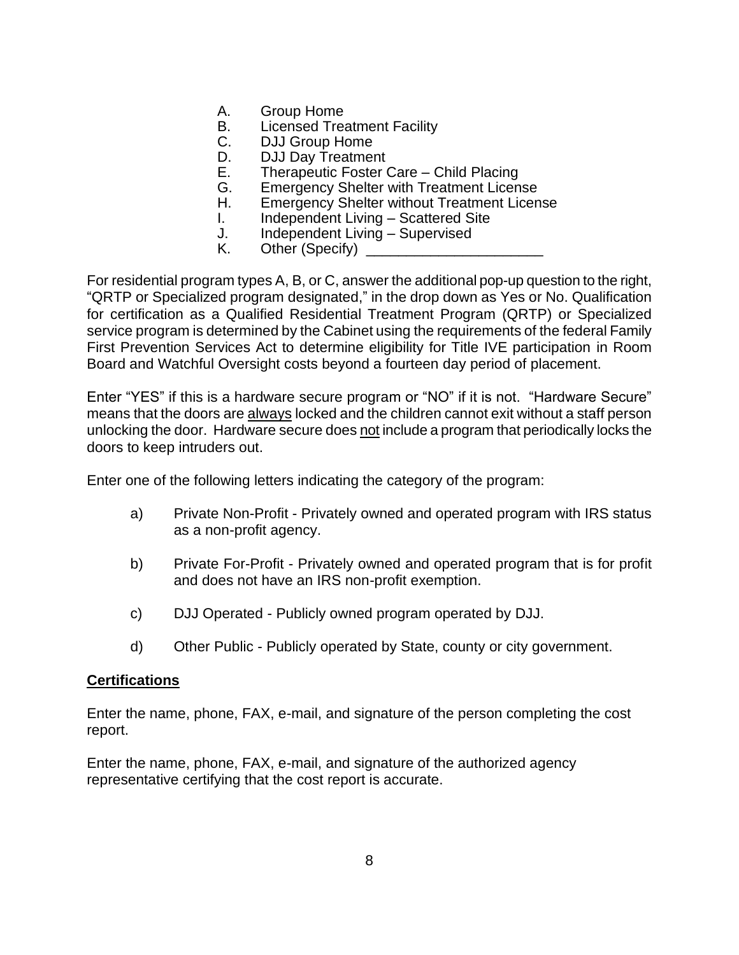- A. Group Home
- B. Licensed Treatment Facility
- C. DJJ Group Home
- D. DJJ Day Treatment<br>E. Therapeutic Foster (
- Therapeutic Foster Care Child Placing
- G. Emergency Shelter with Treatment License
- H. Emergency Shelter without Treatment License
- I. Independent Living Scattered Site
- J. Independent Living Supervised
- K. Other (Specify) \_

For residential program types A, B, or C, answer the additional pop-up question to the right, "QRTP or Specialized program designated," in the drop down as Yes or No. Qualification for certification as a Qualified Residential Treatment Program (QRTP) or Specialized service program is determined by the Cabinet using the requirements of the federal Family First Prevention Services Act to determine eligibility for Title IVE participation in Room Board and Watchful Oversight costs beyond a fourteen day period of placement.

Enter "YES" if this is a hardware secure program or "NO" if it is not. "Hardware Secure" means that the doors are always locked and the children cannot exit without a staff person unlocking the door. Hardware secure does not include a program that periodically locks the doors to keep intruders out.

Enter one of the following letters indicating the category of the program:

- a) Private Non-Profit Privately owned and operated program with IRS status as a non-profit agency.
- b) Private For-Profit Privately owned and operated program that is for profit and does not have an IRS non-profit exemption.
- c) DJJ Operated Publicly owned program operated by DJJ.
- d) Other Public Publicly operated by State, county or city government.

#### **Certifications**

Enter the name, phone, FAX, e-mail, and signature of the person completing the cost report.

Enter the name, phone, FAX, e-mail, and signature of the authorized agency representative certifying that the cost report is accurate.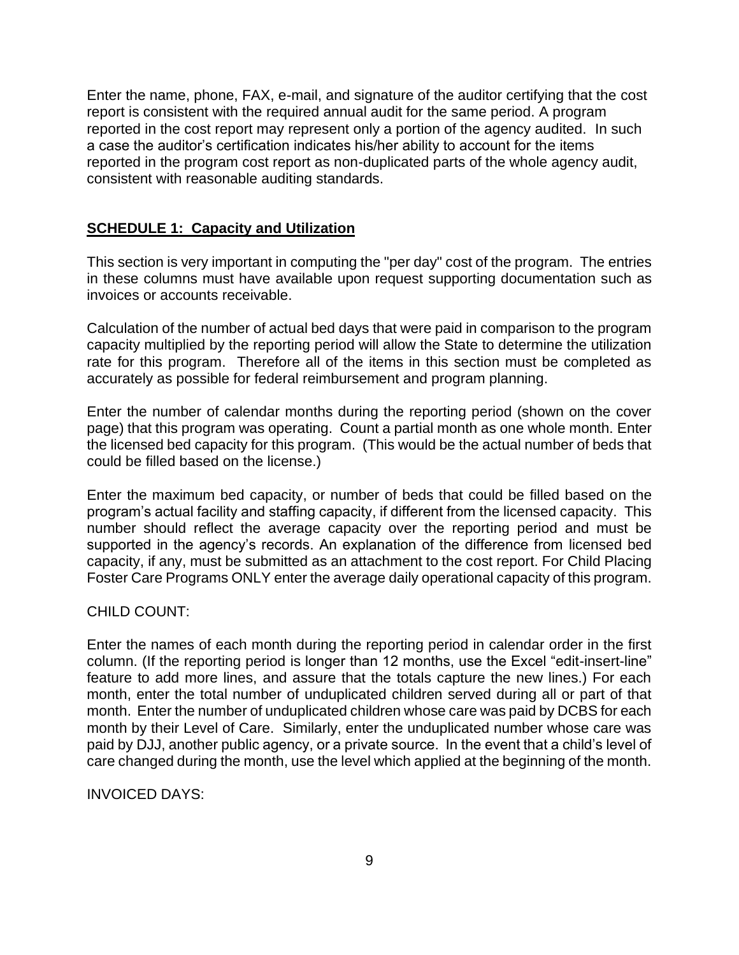Enter the name, phone, FAX, e-mail, and signature of the auditor certifying that the cost report is consistent with the required annual audit for the same period. A program reported in the cost report may represent only a portion of the agency audited. In such a case the auditor's certification indicates his/her ability to account for the items reported in the program cost report as non-duplicated parts of the whole agency audit, consistent with reasonable auditing standards.

#### **SCHEDULE 1: Capacity and Utilization**

This section is very important in computing the "per day" cost of the program. The entries in these columns must have available upon request supporting documentation such as invoices or accounts receivable.

Calculation of the number of actual bed days that were paid in comparison to the program capacity multiplied by the reporting period will allow the State to determine the utilization rate for this program. Therefore all of the items in this section must be completed as accurately as possible for federal reimbursement and program planning.

Enter the number of calendar months during the reporting period (shown on the cover page) that this program was operating. Count a partial month as one whole month. Enter the licensed bed capacity for this program. (This would be the actual number of beds that could be filled based on the license.)

Enter the maximum bed capacity, or number of beds that could be filled based on the program's actual facility and staffing capacity, if different from the licensed capacity. This number should reflect the average capacity over the reporting period and must be supported in the agency's records. An explanation of the difference from licensed bed capacity, if any, must be submitted as an attachment to the cost report. For Child Placing Foster Care Programs ONLY enter the average daily operational capacity of this program.

#### CHILD COUNT:

Enter the names of each month during the reporting period in calendar order in the first column. (If the reporting period is longer than 12 months, use the Excel "edit-insert-line" feature to add more lines, and assure that the totals capture the new lines.) For each month, enter the total number of unduplicated children served during all or part of that month. Enter the number of unduplicated children whose care was paid by DCBS for each month by their Level of Care. Similarly, enter the unduplicated number whose care was paid by DJJ, another public agency, or a private source. In the event that a child's level of care changed during the month, use the level which applied at the beginning of the month.

#### INVOICED DAYS: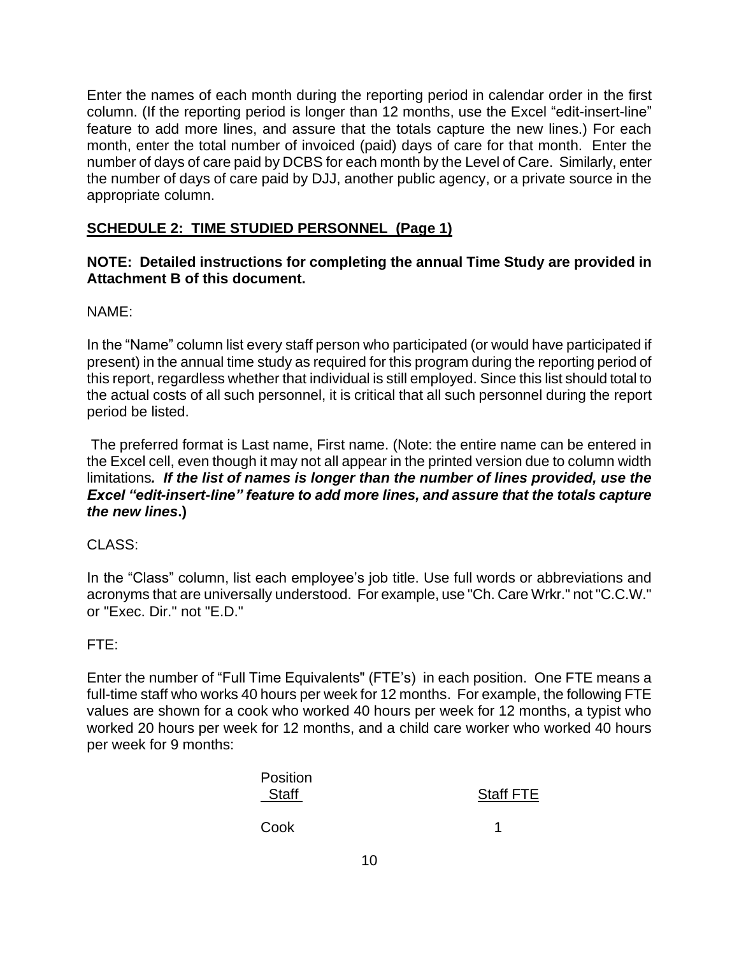Enter the names of each month during the reporting period in calendar order in the first column. (If the reporting period is longer than 12 months, use the Excel "edit-insert-line" feature to add more lines, and assure that the totals capture the new lines.) For each month, enter the total number of invoiced (paid) days of care for that month. Enter the number of days of care paid by DCBS for each month by the Level of Care. Similarly, enter the number of days of care paid by DJJ, another public agency, or a private source in the appropriate column.

## **SCHEDULE 2: TIME STUDIED PERSONNEL (Page 1)**

### **NOTE: Detailed instructions for completing the annual Time Study are provided in Attachment B of this document.**

NAME:

In the "Name" column list every staff person who participated (or would have participated if present) in the annual time study as required for this program during the reporting period of this report, regardless whether that individual is still employed. Since this list should total to the actual costs of all such personnel, it is critical that all such personnel during the report period be listed.

The preferred format is Last name, First name. (Note: the entire name can be entered in the Excel cell, even though it may not all appear in the printed version due to column width limitations*. If the list of names is longer than the number of lines provided, use the Excel "edit-insert-line" feature to add more lines, and assure that the totals capture the new lines***.)**

CLASS:

In the "Class" column, list each employee's job title. Use full words or abbreviations and acronyms that are universally understood. For example, use "Ch. Care Wrkr." not "C.C.W." or "Exec. Dir." not "E.D."

FTE:

Enter the number of "Full Time Equivalents" (FTE's) in each position. One FTE means a full-time staff who works 40 hours per week for 12 months. For example, the following FTE values are shown for a cook who worked 40 hours per week for 12 months, a typist who worked 20 hours per week for 12 months, and a child care worker who worked 40 hours per week for 9 months:

| <b>Position</b> |                  |
|-----------------|------------------|
| Staff           | <b>Staff FTE</b> |
| Cook            |                  |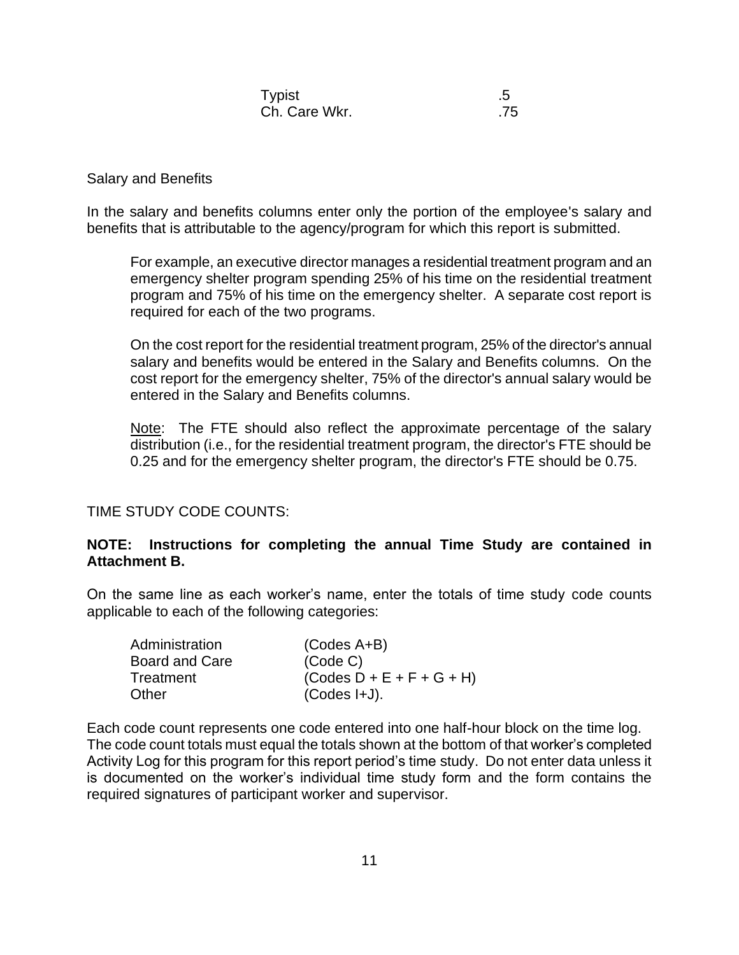| <b>Typist</b> |     |
|---------------|-----|
| Ch. Care Wkr. | .75 |

#### Salary and Benefits

In the salary and benefits columns enter only the portion of the employee's salary and benefits that is attributable to the agency/program for which this report is submitted.

For example, an executive director manages a residential treatment program and an emergency shelter program spending 25% of his time on the residential treatment program and 75% of his time on the emergency shelter. A separate cost report is required for each of the two programs.

On the cost report for the residential treatment program, 25% of the director's annual salary and benefits would be entered in the Salary and Benefits columns. On the cost report for the emergency shelter, 75% of the director's annual salary would be entered in the Salary and Benefits columns.

Note: The FTE should also reflect the approximate percentage of the salary distribution (i.e., for the residential treatment program, the director's FTE should be 0.25 and for the emergency shelter program, the director's FTE should be 0.75.

#### TIME STUDY CODE COUNTS:

#### **NOTE: Instructions for completing the annual Time Study are contained in Attachment B.**

On the same line as each worker's name, enter the totals of time study code counts applicable to each of the following categories:

| Administration        | $(Codes A+B)$               |
|-----------------------|-----------------------------|
| <b>Board and Care</b> | (Code C)                    |
| Treatment             | $(Codes D + E + F + G + H)$ |
| Other                 | $(Codes I+J).$              |

Each code count represents one code entered into one half-hour block on the time log. The code count totals must equal the totals shown at the bottom of that worker's completed Activity Log for this program for this report period's time study. Do not enter data unless it is documented on the worker's individual time study form and the form contains the required signatures of participant worker and supervisor.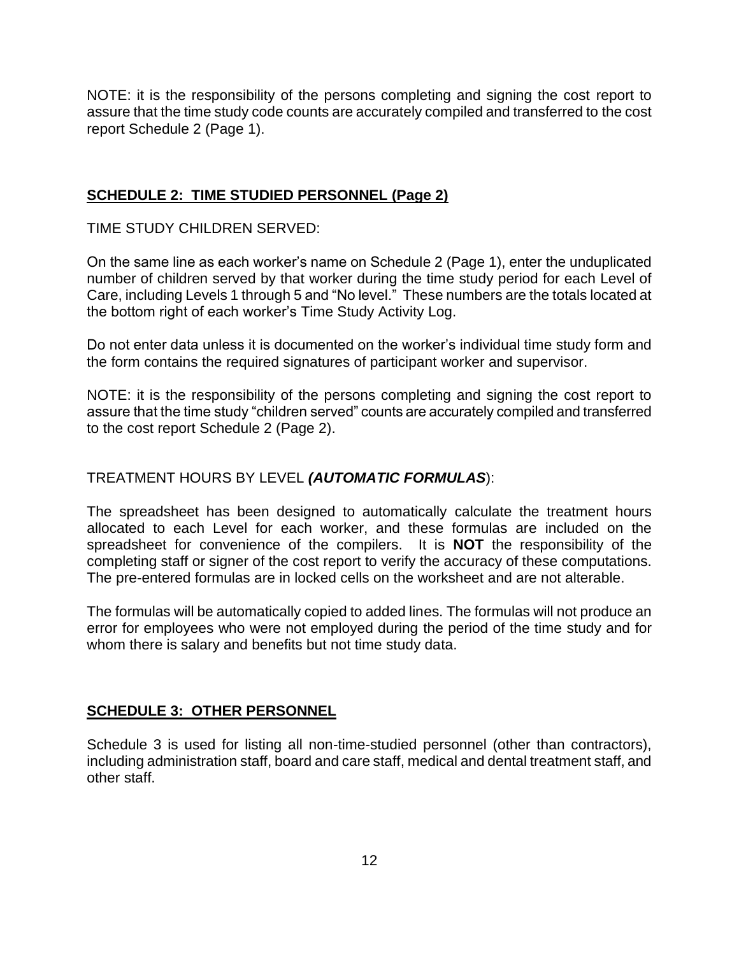NOTE: it is the responsibility of the persons completing and signing the cost report to assure that the time study code counts are accurately compiled and transferred to the cost report Schedule 2 (Page 1).

### **SCHEDULE 2: TIME STUDIED PERSONNEL (Page 2)**

TIME STUDY CHILDREN SERVED:

On the same line as each worker's name on Schedule 2 (Page 1), enter the unduplicated number of children served by that worker during the time study period for each Level of Care, including Levels 1 through 5 and "No level." These numbers are the totals located at the bottom right of each worker's Time Study Activity Log.

Do not enter data unless it is documented on the worker's individual time study form and the form contains the required signatures of participant worker and supervisor.

NOTE: it is the responsibility of the persons completing and signing the cost report to assure that the time study "children served" counts are accurately compiled and transferred to the cost report Schedule 2 (Page 2).

### TREATMENT HOURS BY LEVEL *(AUTOMATIC FORMULAS*):

The spreadsheet has been designed to automatically calculate the treatment hours allocated to each Level for each worker, and these formulas are included on the spreadsheet for convenience of the compilers. It is **NOT** the responsibility of the completing staff or signer of the cost report to verify the accuracy of these computations. The pre-entered formulas are in locked cells on the worksheet and are not alterable.

The formulas will be automatically copied to added lines. The formulas will not produce an error for employees who were not employed during the period of the time study and for whom there is salary and benefits but not time study data.

#### **SCHEDULE 3: OTHER PERSONNEL**

Schedule 3 is used for listing all non-time-studied personnel (other than contractors), including administration staff, board and care staff, medical and dental treatment staff, and other staff.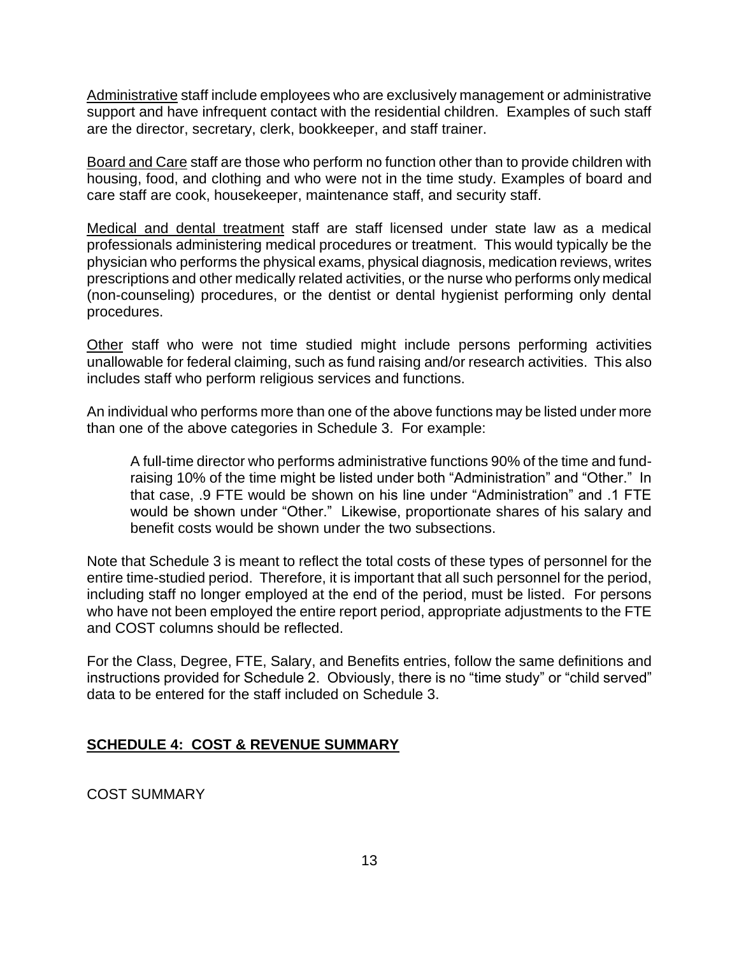Administrative staff include employees who are exclusively management or administrative support and have infrequent contact with the residential children. Examples of such staff are the director, secretary, clerk, bookkeeper, and staff trainer.

Board and Care staff are those who perform no function other than to provide children with housing, food, and clothing and who were not in the time study. Examples of board and care staff are cook, housekeeper, maintenance staff, and security staff.

Medical and dental treatment staff are staff licensed under state law as a medical professionals administering medical procedures or treatment. This would typically be the physician who performs the physical exams, physical diagnosis, medication reviews, writes prescriptions and other medically related activities, or the nurse who performs only medical (non-counseling) procedures, or the dentist or dental hygienist performing only dental procedures.

Other staff who were not time studied might include persons performing activities unallowable for federal claiming, such as fund raising and/or research activities. This also includes staff who perform religious services and functions.

An individual who performs more than one of the above functions may be listed under more than one of the above categories in Schedule 3. For example:

A full-time director who performs administrative functions 90% of the time and fundraising 10% of the time might be listed under both "Administration" and "Other." In that case, .9 FTE would be shown on his line under "Administration" and .1 FTE would be shown under "Other." Likewise, proportionate shares of his salary and benefit costs would be shown under the two subsections.

Note that Schedule 3 is meant to reflect the total costs of these types of personnel for the entire time-studied period. Therefore, it is important that all such personnel for the period, including staff no longer employed at the end of the period, must be listed. For persons who have not been employed the entire report period, appropriate adjustments to the FTE and COST columns should be reflected.

For the Class, Degree, FTE, Salary, and Benefits entries, follow the same definitions and instructions provided for Schedule 2. Obviously, there is no "time study" or "child served" data to be entered for the staff included on Schedule 3.

## **SCHEDULE 4: COST & REVENUE SUMMARY**

COST SUMMARY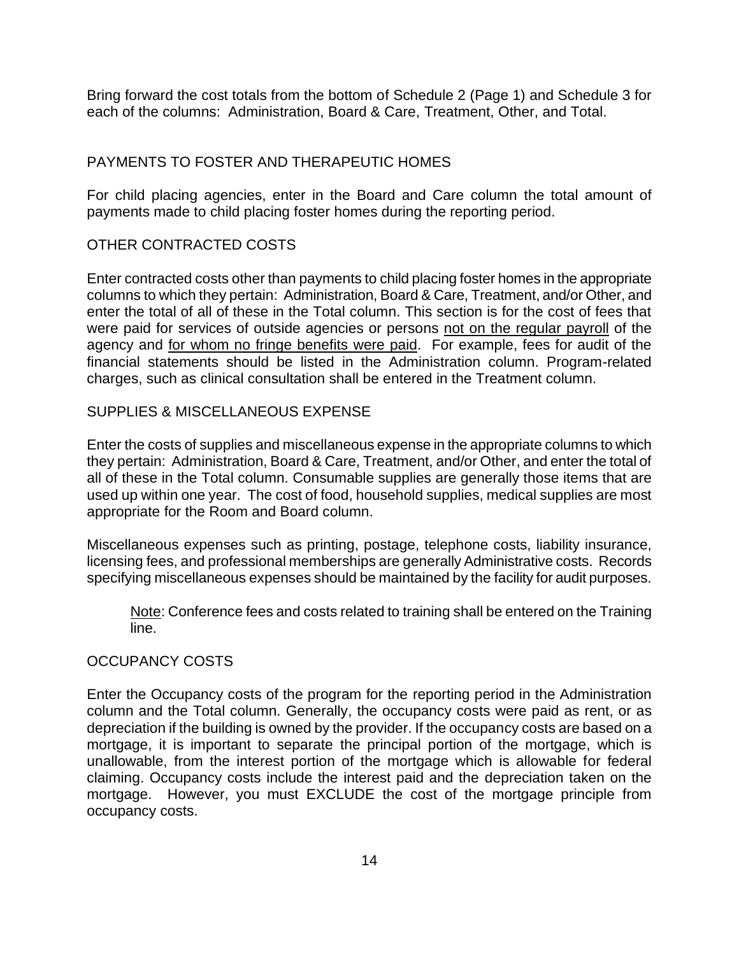Bring forward the cost totals from the bottom of Schedule 2 (Page 1) and Schedule 3 for each of the columns: Administration, Board & Care, Treatment, Other, and Total.

### PAYMENTS TO FOSTER AND THERAPEUTIC HOMES

For child placing agencies, enter in the Board and Care column the total amount of payments made to child placing foster homes during the reporting period.

#### OTHER CONTRACTED COSTS

Enter contracted costs other than payments to child placing foster homes in the appropriate columns to which they pertain: Administration, Board & Care, Treatment, and/or Other, and enter the total of all of these in the Total column. This section is for the cost of fees that were paid for services of outside agencies or persons not on the regular payroll of the agency and for whom no fringe benefits were paid. For example, fees for audit of the financial statements should be listed in the Administration column. Program-related charges, such as clinical consultation shall be entered in the Treatment column.

#### SUPPLIES & MISCELLANEOUS EXPENSE

Enter the costs of supplies and miscellaneous expense in the appropriate columns to which they pertain: Administration, Board & Care, Treatment, and/or Other, and enter the total of all of these in the Total column. Consumable supplies are generally those items that are used up within one year. The cost of food, household supplies, medical supplies are most appropriate for the Room and Board column.

Miscellaneous expenses such as printing, postage, telephone costs, liability insurance, licensing fees, and professional memberships are generally Administrative costs. Records specifying miscellaneous expenses should be maintained by the facility for audit purposes.

Note: Conference fees and costs related to training shall be entered on the Training line.

#### OCCUPANCY COSTS

Enter the Occupancy costs of the program for the reporting period in the Administration column and the Total column. Generally, the occupancy costs were paid as rent, or as depreciation if the building is owned by the provider. If the occupancy costs are based on a mortgage, it is important to separate the principal portion of the mortgage, which is unallowable, from the interest portion of the mortgage which is allowable for federal claiming. Occupancy costs include the interest paid and the depreciation taken on the mortgage. However, you must EXCLUDE the cost of the mortgage principle from occupancy costs.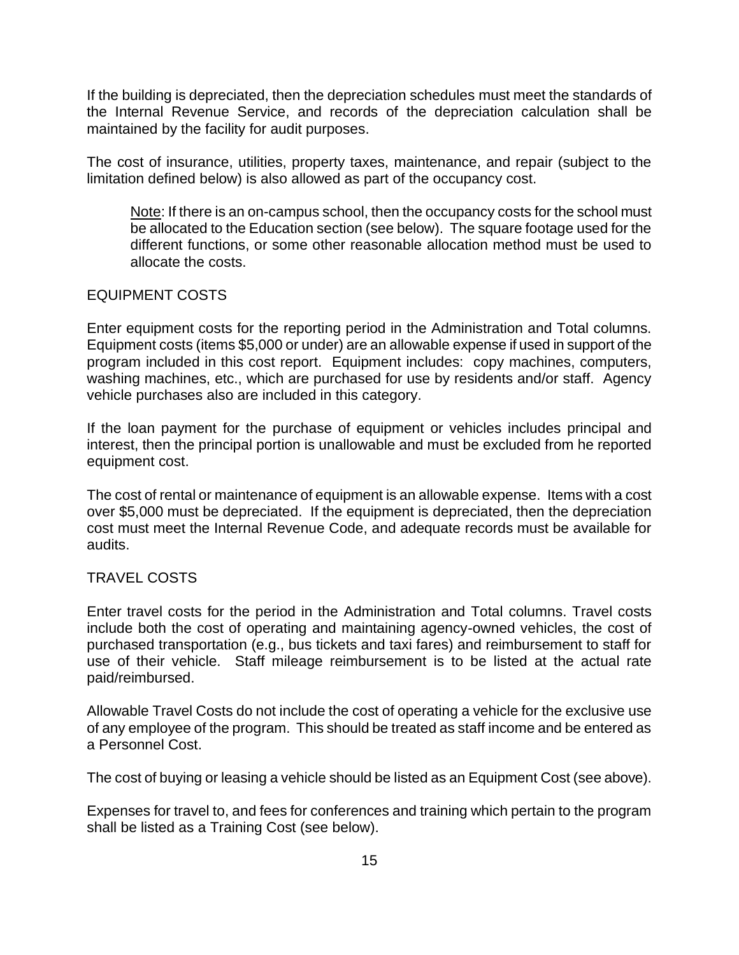If the building is depreciated, then the depreciation schedules must meet the standards of the Internal Revenue Service, and records of the depreciation calculation shall be maintained by the facility for audit purposes.

The cost of insurance, utilities, property taxes, maintenance, and repair (subject to the limitation defined below) is also allowed as part of the occupancy cost.

Note: If there is an on-campus school, then the occupancy costs for the school must be allocated to the Education section (see below). The square footage used for the different functions, or some other reasonable allocation method must be used to allocate the costs.

#### EQUIPMENT COSTS

Enter equipment costs for the reporting period in the Administration and Total columns. Equipment costs (items \$5,000 or under) are an allowable expense if used in support of the program included in this cost report. Equipment includes: copy machines, computers, washing machines, etc., which are purchased for use by residents and/or staff. Agency vehicle purchases also are included in this category.

If the loan payment for the purchase of equipment or vehicles includes principal and interest, then the principal portion is unallowable and must be excluded from he reported equipment cost.

The cost of rental or maintenance of equipment is an allowable expense. Items with a cost over \$5,000 must be depreciated. If the equipment is depreciated, then the depreciation cost must meet the Internal Revenue Code, and adequate records must be available for audits.

#### TRAVEL COSTS

Enter travel costs for the period in the Administration and Total columns. Travel costs include both the cost of operating and maintaining agency-owned vehicles, the cost of purchased transportation (e.g., bus tickets and taxi fares) and reimbursement to staff for use of their vehicle. Staff mileage reimbursement is to be listed at the actual rate paid/reimbursed.

Allowable Travel Costs do not include the cost of operating a vehicle for the exclusive use of any employee of the program. This should be treated as staff income and be entered as a Personnel Cost.

The cost of buying or leasing a vehicle should be listed as an Equipment Cost (see above).

Expenses for travel to, and fees for conferences and training which pertain to the program shall be listed as a Training Cost (see below).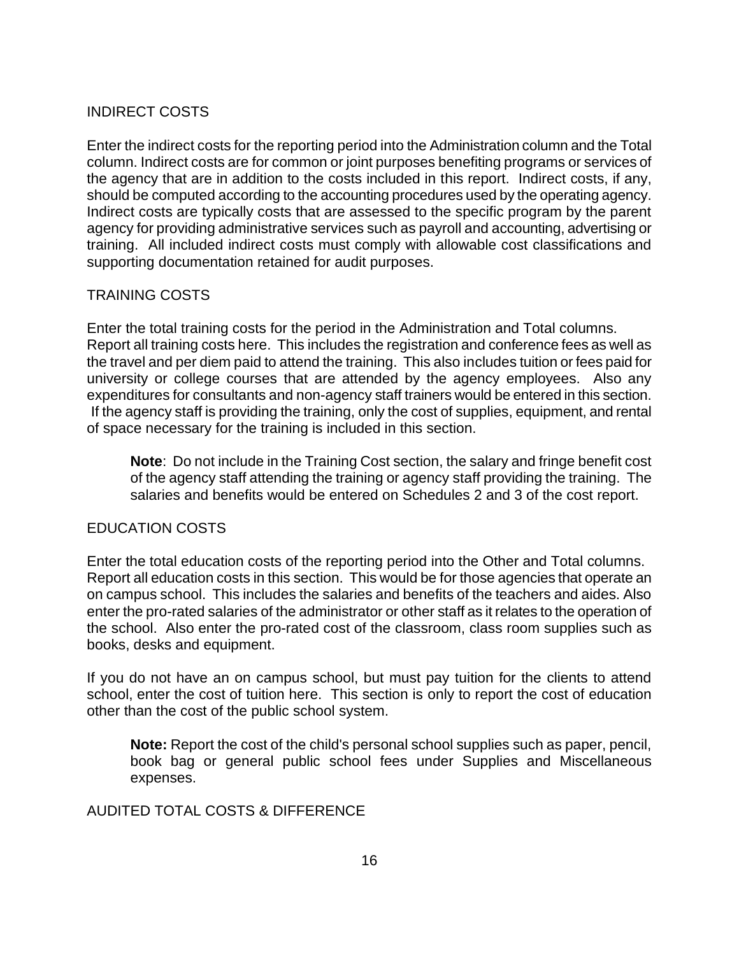## INDIRECT COSTS

Enter the indirect costs for the reporting period into the Administration column and the Total column. Indirect costs are for common or joint purposes benefiting programs or services of the agency that are in addition to the costs included in this report. Indirect costs, if any, should be computed according to the accounting procedures used by the operating agency. Indirect costs are typically costs that are assessed to the specific program by the parent agency for providing administrative services such as payroll and accounting, advertising or training. All included indirect costs must comply with allowable cost classifications and supporting documentation retained for audit purposes.

#### TRAINING COSTS

Enter the total training costs for the period in the Administration and Total columns. Report all training costs here. This includes the registration and conference fees as well as the travel and per diem paid to attend the training. This also includes tuition or fees paid for university or college courses that are attended by the agency employees. Also any expenditures for consultants and non-agency staff trainers would be entered in this section. If the agency staff is providing the training, only the cost of supplies, equipment, and rental of space necessary for the training is included in this section.

**Note**: Do not include in the Training Cost section, the salary and fringe benefit cost of the agency staff attending the training or agency staff providing the training. The salaries and benefits would be entered on Schedules 2 and 3 of the cost report.

#### EDUCATION COSTS

Enter the total education costs of the reporting period into the Other and Total columns. Report all education costs in this section. This would be for those agencies that operate an on campus school. This includes the salaries and benefits of the teachers and aides. Also enter the pro-rated salaries of the administrator or other staff as it relates to the operation of the school. Also enter the pro-rated cost of the classroom, class room supplies such as books, desks and equipment.

If you do not have an on campus school, but must pay tuition for the clients to attend school, enter the cost of tuition here. This section is only to report the cost of education other than the cost of the public school system.

**Note:** Report the cost of the child's personal school supplies such as paper, pencil, book bag or general public school fees under Supplies and Miscellaneous expenses.

AUDITED TOTAL COSTS & DIFFERENCE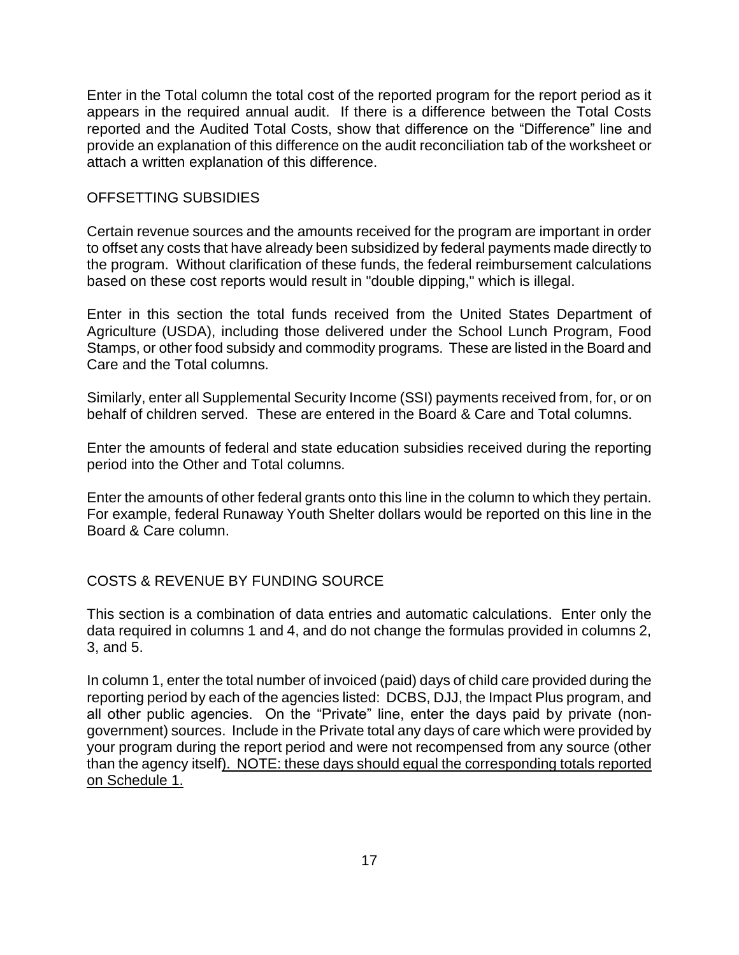Enter in the Total column the total cost of the reported program for the report period as it appears in the required annual audit. If there is a difference between the Total Costs reported and the Audited Total Costs, show that difference on the "Difference" line and provide an explanation of this difference on the audit reconciliation tab of the worksheet or attach a written explanation of this difference.

#### OFFSETTING SUBSIDIES

Certain revenue sources and the amounts received for the program are important in order to offset any costs that have already been subsidized by federal payments made directly to the program. Without clarification of these funds, the federal reimbursement calculations based on these cost reports would result in "double dipping," which is illegal.

Enter in this section the total funds received from the United States Department of Agriculture (USDA), including those delivered under the School Lunch Program, Food Stamps, or other food subsidy and commodity programs. These are listed in the Board and Care and the Total columns.

Similarly, enter all Supplemental Security Income (SSI) payments received from, for, or on behalf of children served. These are entered in the Board & Care and Total columns.

Enter the amounts of federal and state education subsidies received during the reporting period into the Other and Total columns.

Enter the amounts of other federal grants onto this line in the column to which they pertain. For example, federal Runaway Youth Shelter dollars would be reported on this line in the Board & Care column.

#### COSTS & REVENUE BY FUNDING SOURCE

This section is a combination of data entries and automatic calculations. Enter only the data required in columns 1 and 4, and do not change the formulas provided in columns 2, 3, and 5.

In column 1, enter the total number of invoiced (paid) days of child care provided during the reporting period by each of the agencies listed: DCBS, DJJ, the Impact Plus program, and all other public agencies. On the "Private" line, enter the days paid by private (nongovernment) sources. Include in the Private total any days of care which were provided by your program during the report period and were not recompensed from any source (other than the agency itself). NOTE: these days should equal the corresponding totals reported on Schedule 1.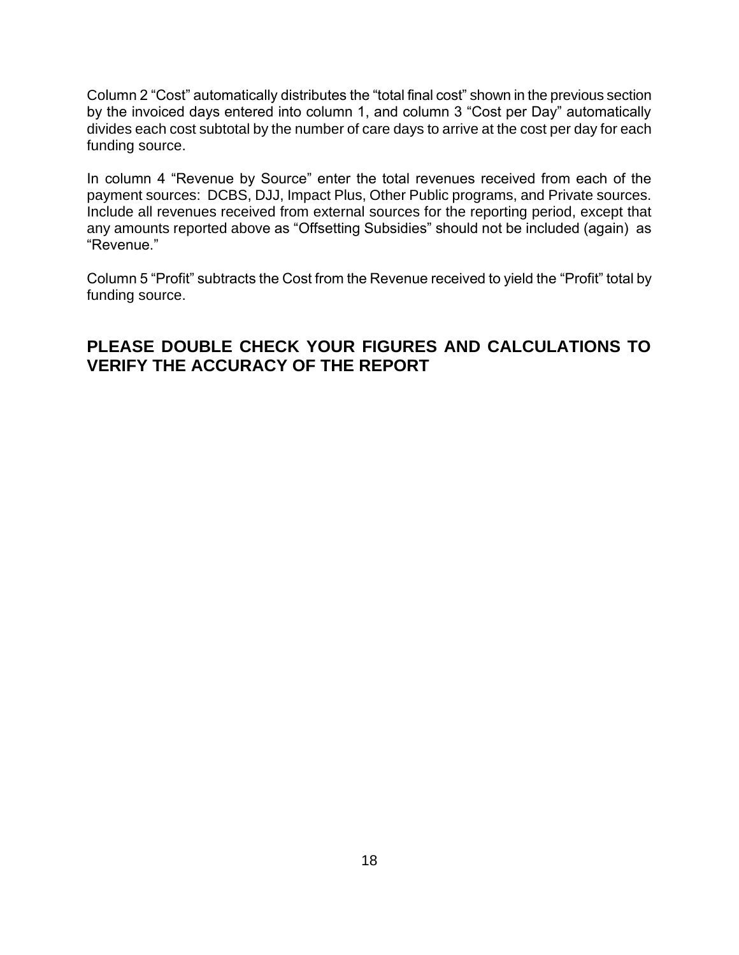Column 2 "Cost" automatically distributes the "total final cost" shown in the previous section by the invoiced days entered into column 1, and column 3 "Cost per Day" automatically divides each cost subtotal by the number of care days to arrive at the cost per day for each funding source.

In column 4 "Revenue by Source" enter the total revenues received from each of the payment sources: DCBS, DJJ, Impact Plus, Other Public programs, and Private sources. Include all revenues received from external sources for the reporting period, except that any amounts reported above as "Offsetting Subsidies" should not be included (again) as "Revenue."

Column 5 "Profit" subtracts the Cost from the Revenue received to yield the "Profit" total by funding source.

# **PLEASE DOUBLE CHECK YOUR FIGURES AND CALCULATIONS TO VERIFY THE ACCURACY OF THE REPORT**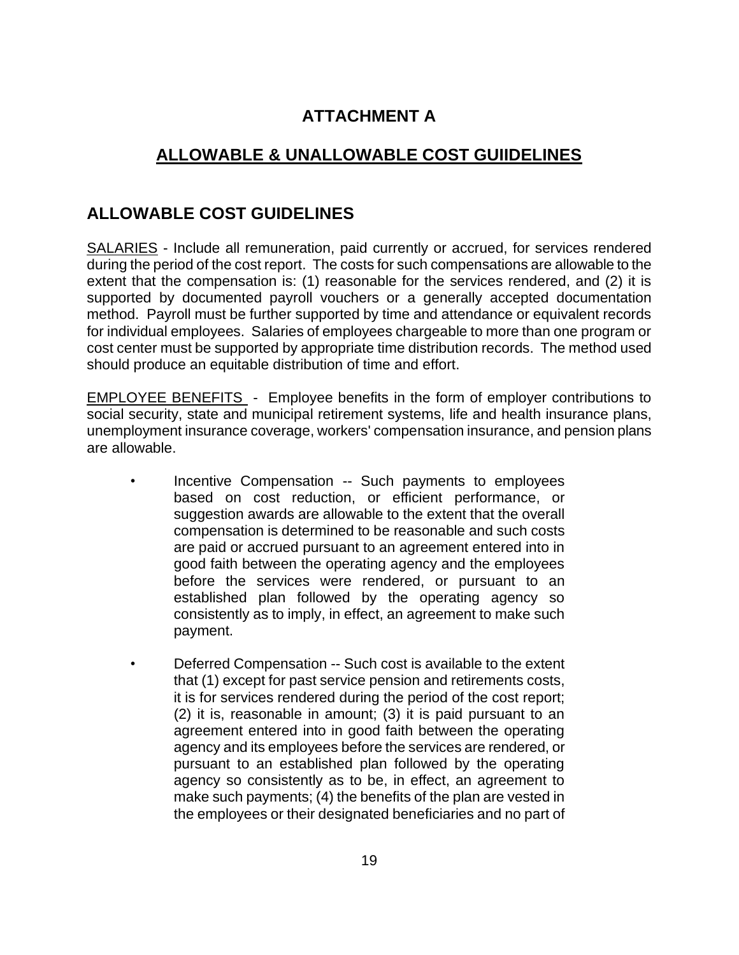# **ATTACHMENT A**

# **ALLOWABLE & UNALLOWABLE COST GUIIDELINES**

# **ALLOWABLE COST GUIDELINES**

SALARIES - Include all remuneration, paid currently or accrued, for services rendered during the period of the cost report. The costs for such compensations are allowable to the extent that the compensation is: (1) reasonable for the services rendered, and (2) it is supported by documented payroll vouchers or a generally accepted documentation method. Payroll must be further supported by time and attendance or equivalent records for individual employees. Salaries of employees chargeable to more than one program or cost center must be supported by appropriate time distribution records. The method used should produce an equitable distribution of time and effort.

EMPLOYEE BENEFITS - Employee benefits in the form of employer contributions to social security, state and municipal retirement systems, life and health insurance plans, unemployment insurance coverage, workers' compensation insurance, and pension plans are allowable.

- Incentive Compensation -- Such payments to employees based on cost reduction, or efficient performance, or suggestion awards are allowable to the extent that the overall compensation is determined to be reasonable and such costs are paid or accrued pursuant to an agreement entered into in good faith between the operating agency and the employees before the services were rendered, or pursuant to an established plan followed by the operating agency so consistently as to imply, in effect, an agreement to make such payment.
- Deferred Compensation -- Such cost is available to the extent that (1) except for past service pension and retirements costs, it is for services rendered during the period of the cost report; (2) it is, reasonable in amount; (3) it is paid pursuant to an agreement entered into in good faith between the operating agency and its employees before the services are rendered, or pursuant to an established plan followed by the operating agency so consistently as to be, in effect, an agreement to make such payments; (4) the benefits of the plan are vested in the employees or their designated beneficiaries and no part of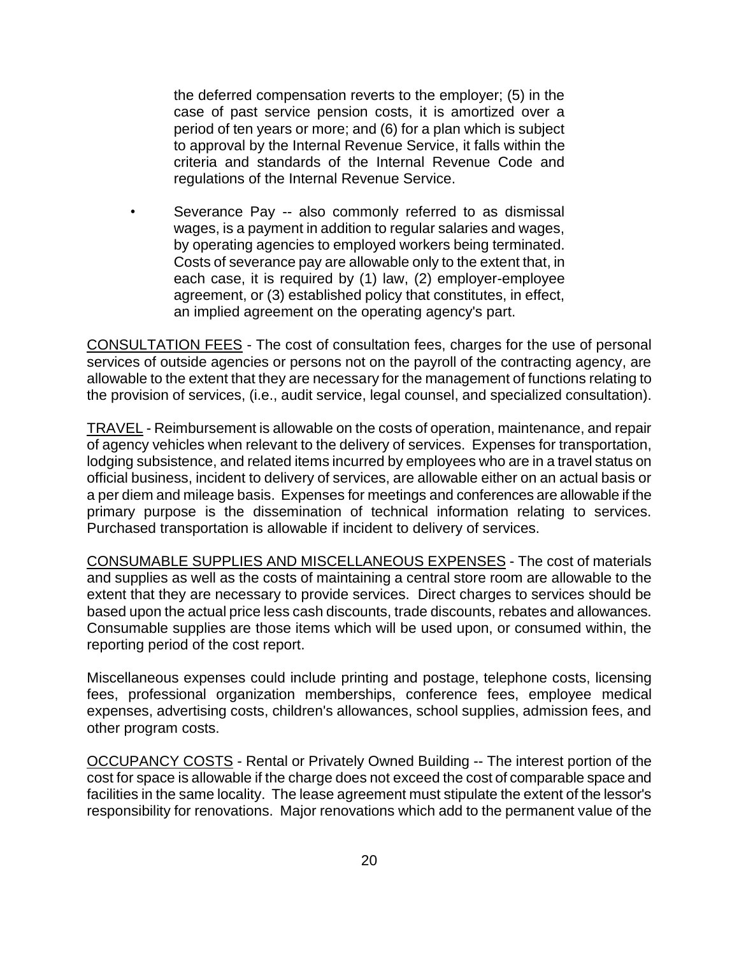the deferred compensation reverts to the employer; (5) in the case of past service pension costs, it is amortized over a period of ten years or more; and (6) for a plan which is subject to approval by the Internal Revenue Service, it falls within the criteria and standards of the Internal Revenue Code and regulations of the Internal Revenue Service.

Severance Pay -- also commonly referred to as dismissal wages, is a payment in addition to regular salaries and wages, by operating agencies to employed workers being terminated. Costs of severance pay are allowable only to the extent that, in each case, it is required by (1) law, (2) employer-employee agreement, or (3) established policy that constitutes, in effect, an implied agreement on the operating agency's part.

CONSULTATION FEES - The cost of consultation fees, charges for the use of personal services of outside agencies or persons not on the payroll of the contracting agency, are allowable to the extent that they are necessary for the management of functions relating to the provision of services, (i.e., audit service, legal counsel, and specialized consultation).

TRAVEL - Reimbursement is allowable on the costs of operation, maintenance, and repair of agency vehicles when relevant to the delivery of services. Expenses for transportation, lodging subsistence, and related items incurred by employees who are in a travel status on official business, incident to delivery of services, are allowable either on an actual basis or a per diem and mileage basis. Expenses for meetings and conferences are allowable if the primary purpose is the dissemination of technical information relating to services. Purchased transportation is allowable if incident to delivery of services.

CONSUMABLE SUPPLIES AND MISCELLANEOUS EXPENSES - The cost of materials and supplies as well as the costs of maintaining a central store room are allowable to the extent that they are necessary to provide services. Direct charges to services should be based upon the actual price less cash discounts, trade discounts, rebates and allowances. Consumable supplies are those items which will be used upon, or consumed within, the reporting period of the cost report.

Miscellaneous expenses could include printing and postage, telephone costs, licensing fees, professional organization memberships, conference fees, employee medical expenses, advertising costs, children's allowances, school supplies, admission fees, and other program costs.

OCCUPANCY COSTS - Rental or Privately Owned Building -- The interest portion of the cost for space is allowable if the charge does not exceed the cost of comparable space and facilities in the same locality. The lease agreement must stipulate the extent of the lessor's responsibility for renovations. Major renovations which add to the permanent value of the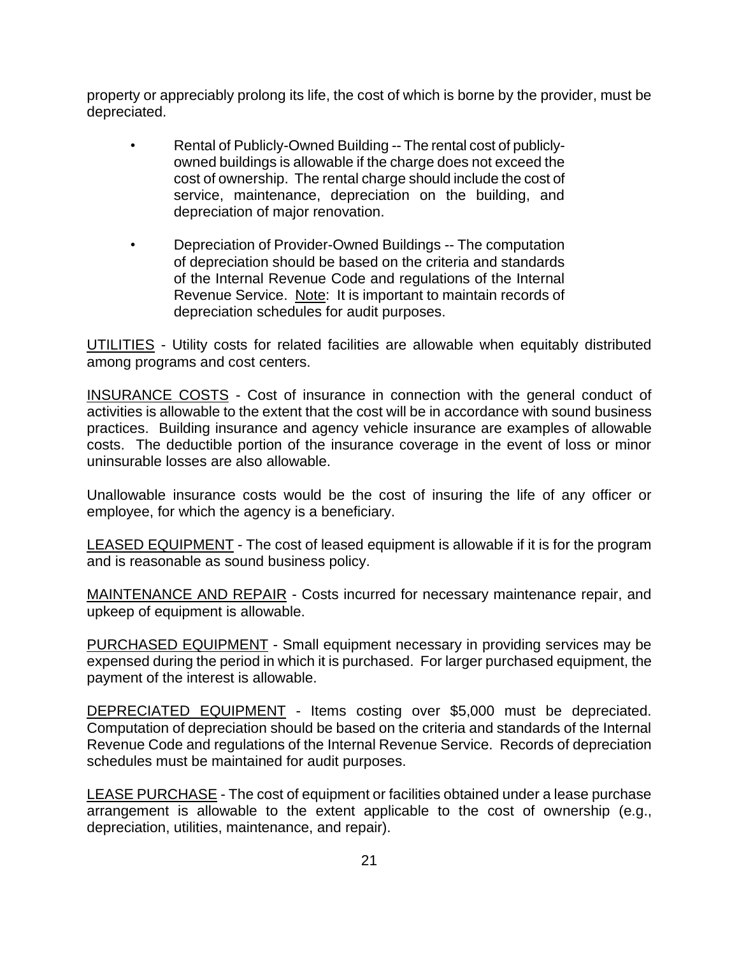property or appreciably prolong its life, the cost of which is borne by the provider, must be depreciated.

- Rental of Publicly-Owned Building -- The rental cost of publiclyowned buildings is allowable if the charge does not exceed the cost of ownership. The rental charge should include the cost of service, maintenance, depreciation on the building, and depreciation of major renovation.
- Depreciation of Provider-Owned Buildings -- The computation of depreciation should be based on the criteria and standards of the Internal Revenue Code and regulations of the Internal Revenue Service. Note: It is important to maintain records of depreciation schedules for audit purposes.

UTILITIES - Utility costs for related facilities are allowable when equitably distributed among programs and cost centers.

INSURANCE COSTS - Cost of insurance in connection with the general conduct of activities is allowable to the extent that the cost will be in accordance with sound business practices. Building insurance and agency vehicle insurance are examples of allowable costs. The deductible portion of the insurance coverage in the event of loss or minor uninsurable losses are also allowable.

Unallowable insurance costs would be the cost of insuring the life of any officer or employee, for which the agency is a beneficiary.

LEASED EQUIPMENT - The cost of leased equipment is allowable if it is for the program and is reasonable as sound business policy.

MAINTENANCE AND REPAIR - Costs incurred for necessary maintenance repair, and upkeep of equipment is allowable.

PURCHASED EQUIPMENT - Small equipment necessary in providing services may be expensed during the period in which it is purchased. For larger purchased equipment, the payment of the interest is allowable.

DEPRECIATED EQUIPMENT - Items costing over \$5,000 must be depreciated. Computation of depreciation should be based on the criteria and standards of the Internal Revenue Code and regulations of the Internal Revenue Service. Records of depreciation schedules must be maintained for audit purposes.

LEASE PURCHASE - The cost of equipment or facilities obtained under a lease purchase arrangement is allowable to the extent applicable to the cost of ownership (e.g., depreciation, utilities, maintenance, and repair).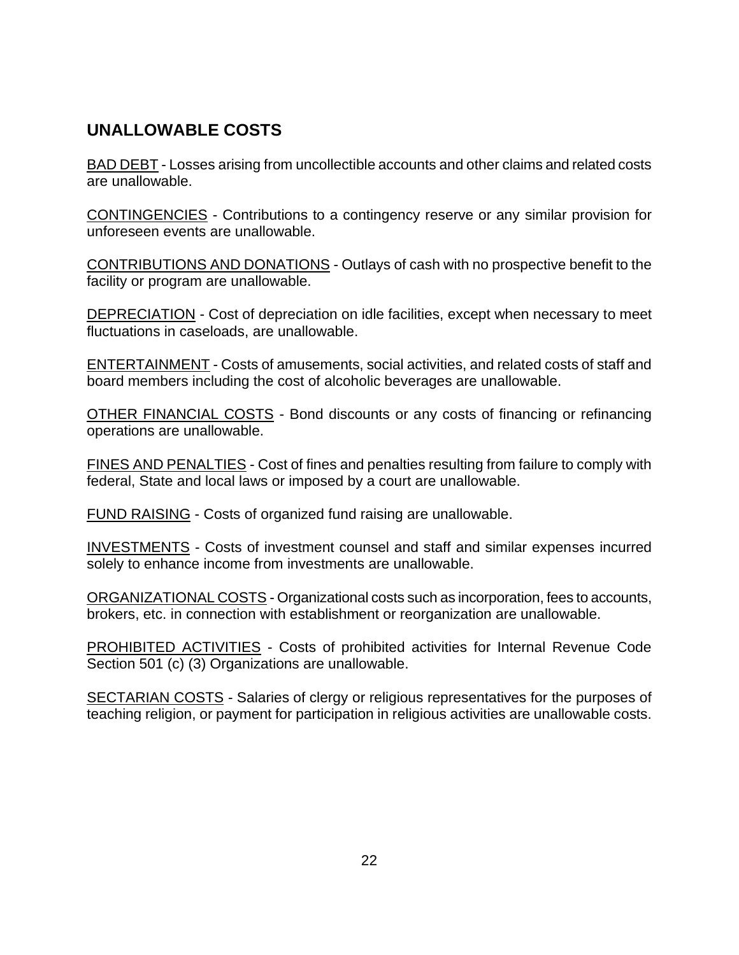# **UNALLOWABLE COSTS**

BAD DEBT - Losses arising from uncollectible accounts and other claims and related costs are unallowable.

CONTINGENCIES - Contributions to a contingency reserve or any similar provision for unforeseen events are unallowable.

CONTRIBUTIONS AND DONATIONS - Outlays of cash with no prospective benefit to the facility or program are unallowable.

DEPRECIATION - Cost of depreciation on idle facilities, except when necessary to meet fluctuations in caseloads, are unallowable.

ENTERTAINMENT - Costs of amusements, social activities, and related costs of staff and board members including the cost of alcoholic beverages are unallowable.

OTHER FINANCIAL COSTS - Bond discounts or any costs of financing or refinancing operations are unallowable.

FINES AND PENALTIES - Cost of fines and penalties resulting from failure to comply with federal, State and local laws or imposed by a court are unallowable.

FUND RAISING - Costs of organized fund raising are unallowable.

INVESTMENTS - Costs of investment counsel and staff and similar expenses incurred solely to enhance income from investments are unallowable.

ORGANIZATIONAL COSTS - Organizational costs such as incorporation, fees to accounts, brokers, etc. in connection with establishment or reorganization are unallowable.

PROHIBITED ACTIVITIES - Costs of prohibited activities for Internal Revenue Code Section 501 (c) (3) Organizations are unallowable.

SECTARIAN COSTS - Salaries of clergy or religious representatives for the purposes of teaching religion, or payment for participation in religious activities are unallowable costs.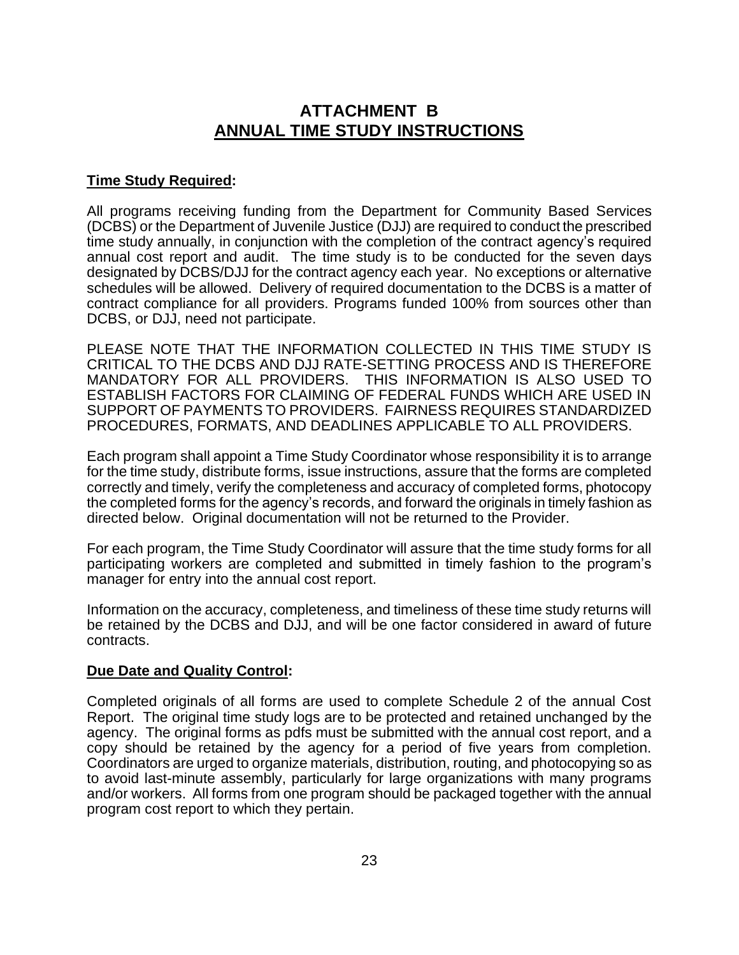# **ATTACHMENT B ANNUAL TIME STUDY INSTRUCTIONS**

#### **Time Study Required:**

All programs receiving funding from the Department for Community Based Services (DCBS) or the Department of Juvenile Justice (DJJ) are required to conduct the prescribed time study annually, in conjunction with the completion of the contract agency's required annual cost report and audit. The time study is to be conducted for the seven days designated by DCBS/DJJ for the contract agency each year. No exceptions or alternative schedules will be allowed. Delivery of required documentation to the DCBS is a matter of contract compliance for all providers. Programs funded 100% from sources other than DCBS, or DJJ, need not participate.

PLEASE NOTE THAT THE INFORMATION COLLECTED IN THIS TIME STUDY IS CRITICAL TO THE DCBS AND DJJ RATE-SETTING PROCESS AND IS THEREFORE MANDATORY FOR ALL PROVIDERS. THIS INFORMATION IS ALSO USED TO ESTABLISH FACTORS FOR CLAIMING OF FEDERAL FUNDS WHICH ARE USED IN SUPPORT OF PAYMENTS TO PROVIDERS. FAIRNESS REQUIRES STANDARDIZED PROCEDURES, FORMATS, AND DEADLINES APPLICABLE TO ALL PROVIDERS.

Each program shall appoint a Time Study Coordinator whose responsibility it is to arrange for the time study, distribute forms, issue instructions, assure that the forms are completed correctly and timely, verify the completeness and accuracy of completed forms, photocopy the completed forms for the agency's records, and forward the originals in timely fashion as directed below. Original documentation will not be returned to the Provider.

For each program, the Time Study Coordinator will assure that the time study forms for all participating workers are completed and submitted in timely fashion to the program's manager for entry into the annual cost report.

Information on the accuracy, completeness, and timeliness of these time study returns will be retained by the DCBS and DJJ, and will be one factor considered in award of future contracts.

#### **Due Date and Quality Control:**

Completed originals of all forms are used to complete Schedule 2 of the annual Cost Report. The original time study logs are to be protected and retained unchanged by the agency. The original forms as pdfs must be submitted with the annual cost report, and a copy should be retained by the agency for a period of five years from completion. Coordinators are urged to organize materials, distribution, routing, and photocopying so as to avoid last-minute assembly, particularly for large organizations with many programs and/or workers. All forms from one program should be packaged together with the annual program cost report to which they pertain.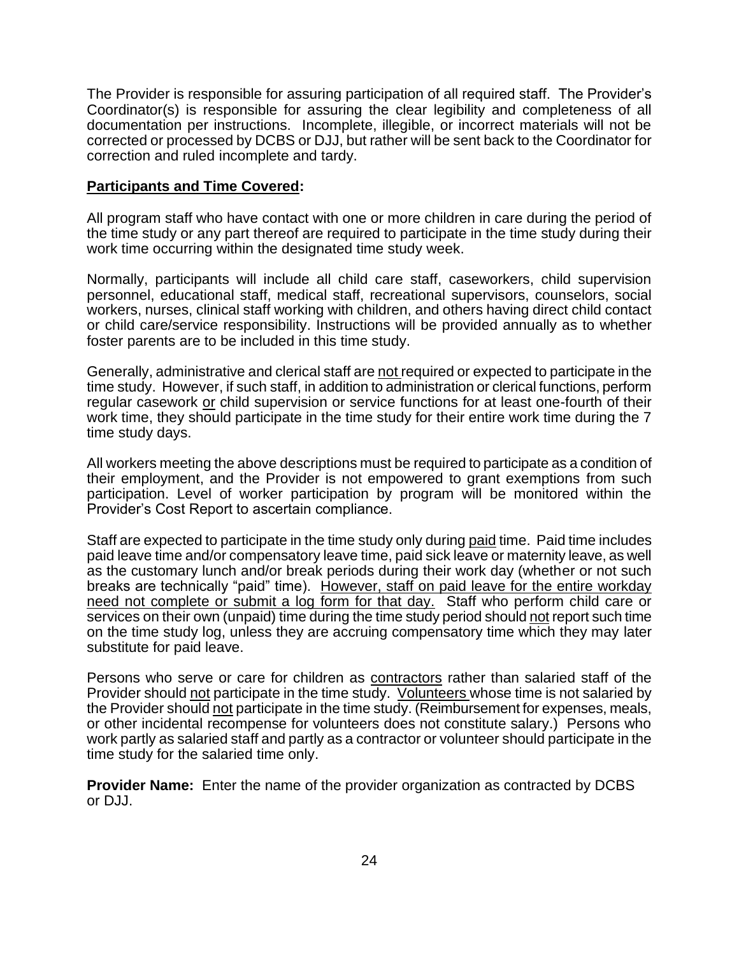The Provider is responsible for assuring participation of all required staff. The Provider's Coordinator(s) is responsible for assuring the clear legibility and completeness of all documentation per instructions. Incomplete, illegible, or incorrect materials will not be corrected or processed by DCBS or DJJ, but rather will be sent back to the Coordinator for correction and ruled incomplete and tardy.

#### **Participants and Time Covered:**

All program staff who have contact with one or more children in care during the period of the time study or any part thereof are required to participate in the time study during their work time occurring within the designated time study week.

Normally, participants will include all child care staff, caseworkers, child supervision personnel, educational staff, medical staff, recreational supervisors, counselors, social workers, nurses, clinical staff working with children, and others having direct child contact or child care/service responsibility. Instructions will be provided annually as to whether foster parents are to be included in this time study.

Generally, administrative and clerical staff are not required or expected to participate in the time study. However, if such staff, in addition to administration or clerical functions, perform regular casework or child supervision or service functions for at least one-fourth of their work time, they should participate in the time study for their entire work time during the 7 time study days.

All workers meeting the above descriptions must be required to participate as a condition of their employment, and the Provider is not empowered to grant exemptions from such participation. Level of worker participation by program will be monitored within the Provider's Cost Report to ascertain compliance.

Staff are expected to participate in the time study only during paid time. Paid time includes paid leave time and/or compensatory leave time, paid sick leave or maternity leave, as well as the customary lunch and/or break periods during their work day (whether or not such breaks are technically "paid" time). However, staff on paid leave for the entire workday need not complete or submit a log form for that day. Staff who perform child care or services on their own (unpaid) time during the time study period should not report such time on the time study log, unless they are accruing compensatory time which they may later substitute for paid leave.

Persons who serve or care for children as contractors rather than salaried staff of the Provider should not participate in the time study. Volunteers whose time is not salaried by the Provider should not participate in the time study. (Reimbursement for expenses, meals, or other incidental recompense for volunteers does not constitute salary.) Persons who work partly as salaried staff and partly as a contractor or volunteer should participate in the time study for the salaried time only.

**Provider Name:** Enter the name of the provider organization as contracted by DCBS or DJJ.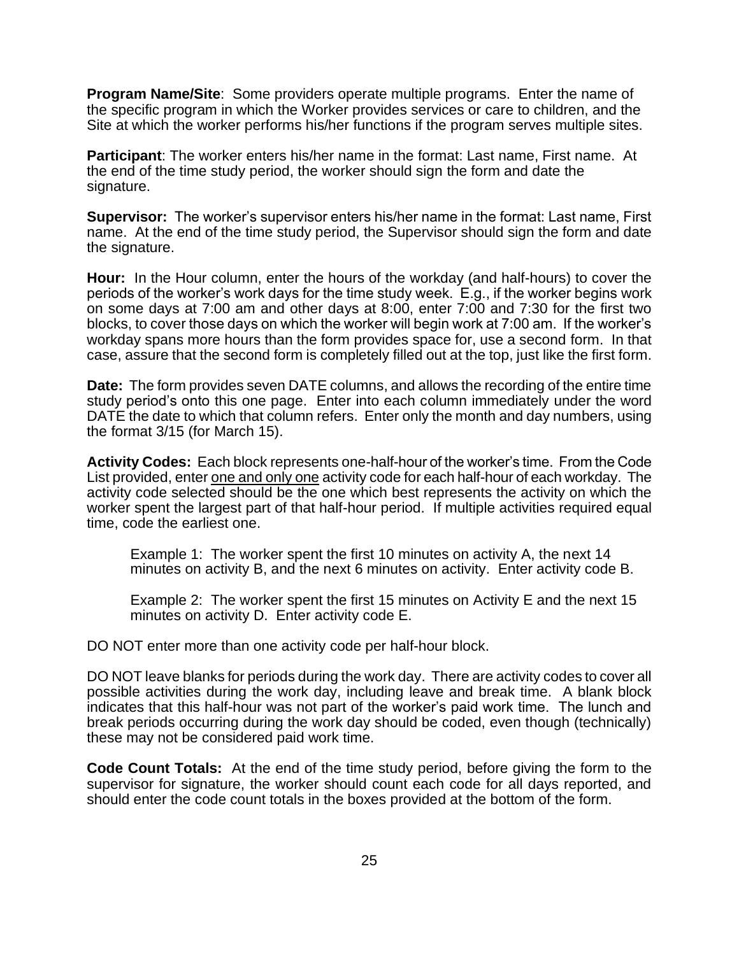**Program Name/Site**: Some providers operate multiple programs. Enter the name of the specific program in which the Worker provides services or care to children, and the Site at which the worker performs his/her functions if the program serves multiple sites.

**Participant**: The worker enters his/her name in the format: Last name, First name. At the end of the time study period, the worker should sign the form and date the signature.

**Supervisor:** The worker's supervisor enters his/her name in the format: Last name, First name. At the end of the time study period, the Supervisor should sign the form and date the signature.

**Hour:** In the Hour column, enter the hours of the workday (and half-hours) to cover the periods of the worker's work days for the time study week. E.g., if the worker begins work on some days at 7:00 am and other days at 8:00, enter 7:00 and 7:30 for the first two blocks, to cover those days on which the worker will begin work at 7:00 am. If the worker's workday spans more hours than the form provides space for, use a second form. In that case, assure that the second form is completely filled out at the top, just like the first form.

**Date:** The form provides seven DATE columns, and allows the recording of the entire time study period's onto this one page. Enter into each column immediately under the word DATE the date to which that column refers. Enter only the month and day numbers, using the format 3/15 (for March 15).

**Activity Codes:** Each block represents one-half-hour of the worker's time. From the Code List provided, enter one and only one activity code for each half-hour of each workday. The activity code selected should be the one which best represents the activity on which the worker spent the largest part of that half-hour period. If multiple activities required equal time, code the earliest one.

Example 1: The worker spent the first 10 minutes on activity A, the next 14 minutes on activity B, and the next 6 minutes on activity. Enter activity code B.

Example 2: The worker spent the first 15 minutes on Activity E and the next 15 minutes on activity D. Enter activity code E.

DO NOT enter more than one activity code per half-hour block.

DO NOT leave blanks for periods during the work day. There are activity codes to cover all possible activities during the work day, including leave and break time. A blank block indicates that this half-hour was not part of the worker's paid work time. The lunch and break periods occurring during the work day should be coded, even though (technically) these may not be considered paid work time.

**Code Count Totals:** At the end of the time study period, before giving the form to the supervisor for signature, the worker should count each code for all days reported, and should enter the code count totals in the boxes provided at the bottom of the form.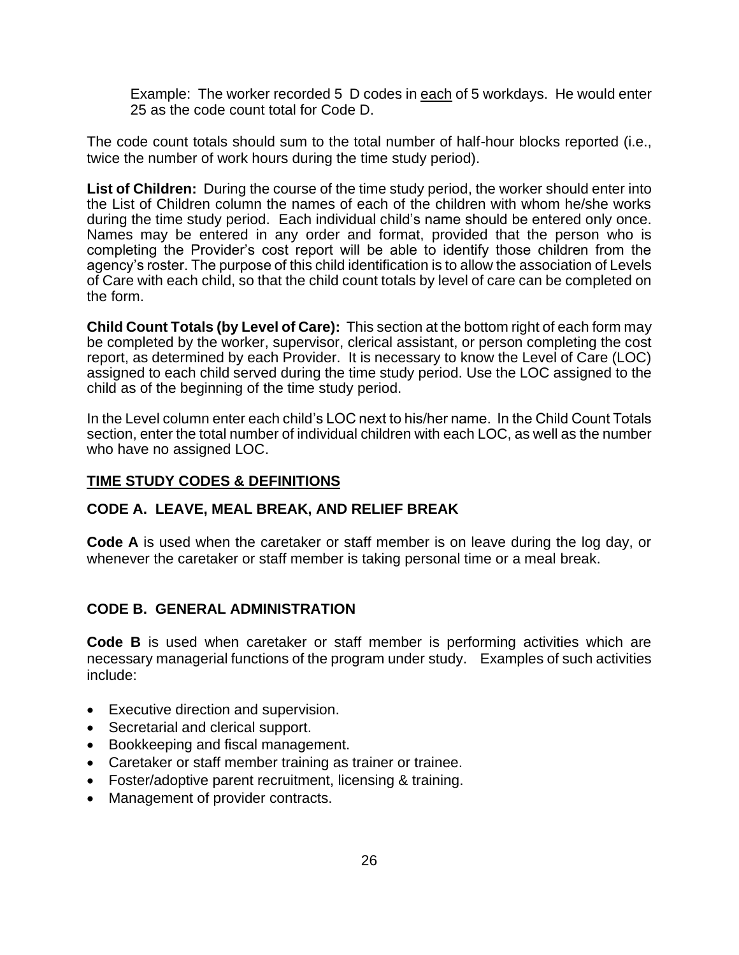Example: The worker recorded 5 D codes in each of 5 workdays. He would enter 25 as the code count total for Code D.

The code count totals should sum to the total number of half-hour blocks reported (i.e., twice the number of work hours during the time study period).

**List of Children:** During the course of the time study period, the worker should enter into the List of Children column the names of each of the children with whom he/she works during the time study period. Each individual child's name should be entered only once. Names may be entered in any order and format, provided that the person who is completing the Provider's cost report will be able to identify those children from the agency's roster. The purpose of this child identification is to allow the association of Levels of Care with each child, so that the child count totals by level of care can be completed on the form.

**Child Count Totals (by Level of Care):** This section at the bottom right of each form may be completed by the worker, supervisor, clerical assistant, or person completing the cost report, as determined by each Provider. It is necessary to know the Level of Care (LOC) assigned to each child served during the time study period. Use the LOC assigned to the child as of the beginning of the time study period.

In the Level column enter each child's LOC next to his/her name. In the Child Count Totals section, enter the total number of individual children with each LOC, as well as the number who have no assigned LOC.

### **TIME STUDY CODES & DEFINITIONS**

#### **CODE A. LEAVE, MEAL BREAK, AND RELIEF BREAK**

**Code A** is used when the caretaker or staff member is on leave during the log day, or whenever the caretaker or staff member is taking personal time or a meal break.

## **CODE B. GENERAL ADMINISTRATION**

**Code B** is used when caretaker or staff member is performing activities which are necessary managerial functions of the program under study. Examples of such activities include:

- Executive direction and supervision.
- Secretarial and clerical support.
- Bookkeeping and fiscal management.
- Caretaker or staff member training as trainer or trainee.
- Foster/adoptive parent recruitment, licensing & training.
- Management of provider contracts.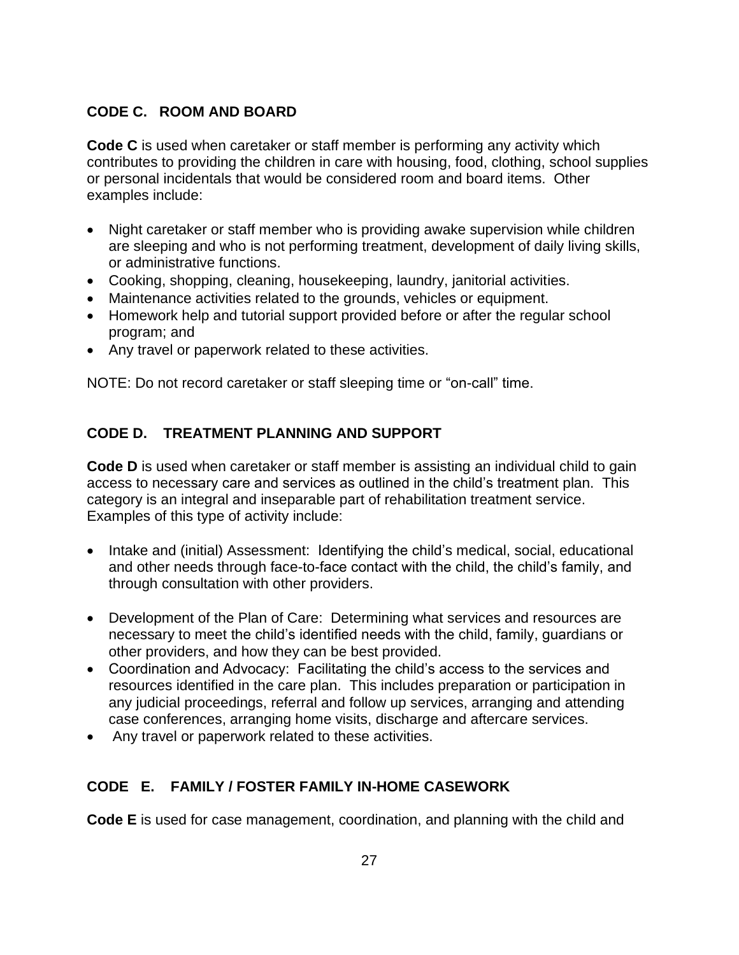## **CODE C. ROOM AND BOARD**

**Code C** is used when caretaker or staff member is performing any activity which contributes to providing the children in care with housing, food, clothing, school supplies or personal incidentals that would be considered room and board items. Other examples include:

- Night caretaker or staff member who is providing awake supervision while children are sleeping and who is not performing treatment, development of daily living skills, or administrative functions.
- Cooking, shopping, cleaning, housekeeping, laundry, janitorial activities.
- Maintenance activities related to the grounds, vehicles or equipment.
- Homework help and tutorial support provided before or after the regular school program; and
- Any travel or paperwork related to these activities.

NOTE: Do not record caretaker or staff sleeping time or "on-call" time.

## **CODE D. TREATMENT PLANNING AND SUPPORT**

**Code D** is used when caretaker or staff member is assisting an individual child to gain access to necessary care and services as outlined in the child's treatment plan. This category is an integral and inseparable part of rehabilitation treatment service. Examples of this type of activity include:

- Intake and (initial) Assessment: Identifying the child's medical, social, educational and other needs through face-to-face contact with the child, the child's family, and through consultation with other providers.
- Development of the Plan of Care: Determining what services and resources are necessary to meet the child's identified needs with the child, family, guardians or other providers, and how they can be best provided.
- Coordination and Advocacy: Facilitating the child's access to the services and resources identified in the care plan. This includes preparation or participation in any judicial proceedings, referral and follow up services, arranging and attending case conferences, arranging home visits, discharge and aftercare services.
- Any travel or paperwork related to these activities.

## **CODE E. FAMILY / FOSTER FAMILY IN-HOME CASEWORK**

**Code E** is used for case management, coordination, and planning with the child and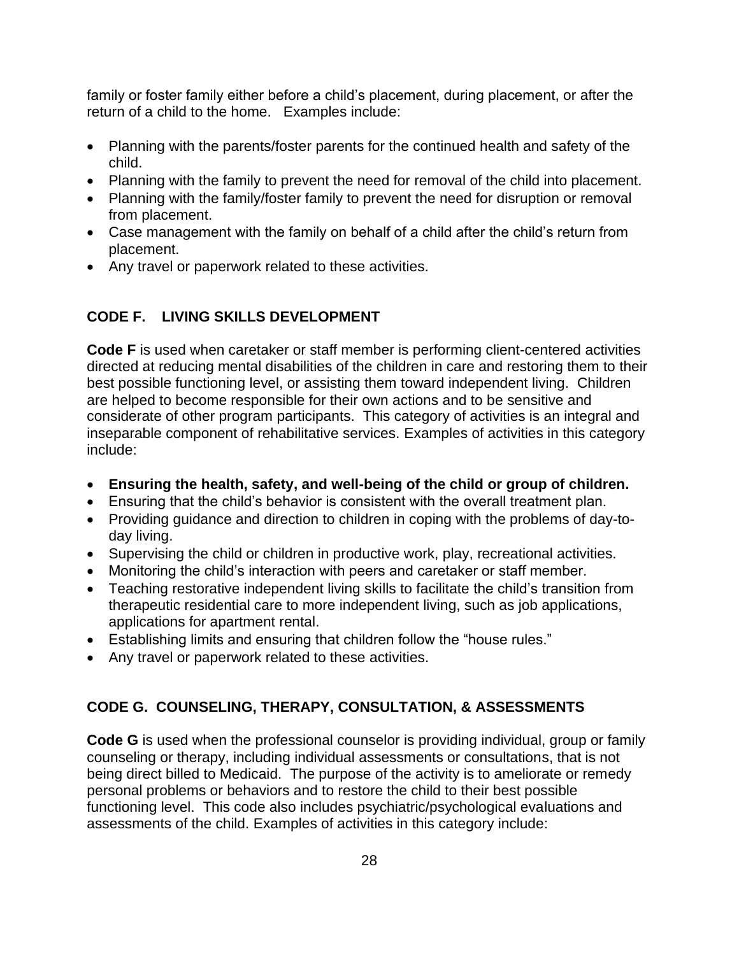family or foster family either before a child's placement, during placement, or after the return of a child to the home. Examples include:

- Planning with the parents/foster parents for the continued health and safety of the child.
- Planning with the family to prevent the need for removal of the child into placement.
- Planning with the family/foster family to prevent the need for disruption or removal from placement.
- Case management with the family on behalf of a child after the child's return from placement.
- Any travel or paperwork related to these activities.

## **CODE F. LIVING SKILLS DEVELOPMENT**

**Code F** is used when caretaker or staff member is performing client-centered activities directed at reducing mental disabilities of the children in care and restoring them to their best possible functioning level, or assisting them toward independent living. Children are helped to become responsible for their own actions and to be sensitive and considerate of other program participants. This category of activities is an integral and inseparable component of rehabilitative services. Examples of activities in this category include:

- **Ensuring the health, safety, and well-being of the child or group of children.**
- Ensuring that the child's behavior is consistent with the overall treatment plan.
- Providing guidance and direction to children in coping with the problems of day-today living.
- Supervising the child or children in productive work, play, recreational activities.
- Monitoring the child's interaction with peers and caretaker or staff member.
- Teaching restorative independent living skills to facilitate the child's transition from therapeutic residential care to more independent living, such as job applications, applications for apartment rental.
- Establishing limits and ensuring that children follow the "house rules."
- Any travel or paperwork related to these activities.

## **CODE G. COUNSELING, THERAPY, CONSULTATION, & ASSESSMENTS**

**Code G** is used when the professional counselor is providing individual, group or family counseling or therapy, including individual assessments or consultations, that is not being direct billed to Medicaid. The purpose of the activity is to ameliorate or remedy personal problems or behaviors and to restore the child to their best possible functioning level. This code also includes psychiatric/psychological evaluations and assessments of the child. Examples of activities in this category include: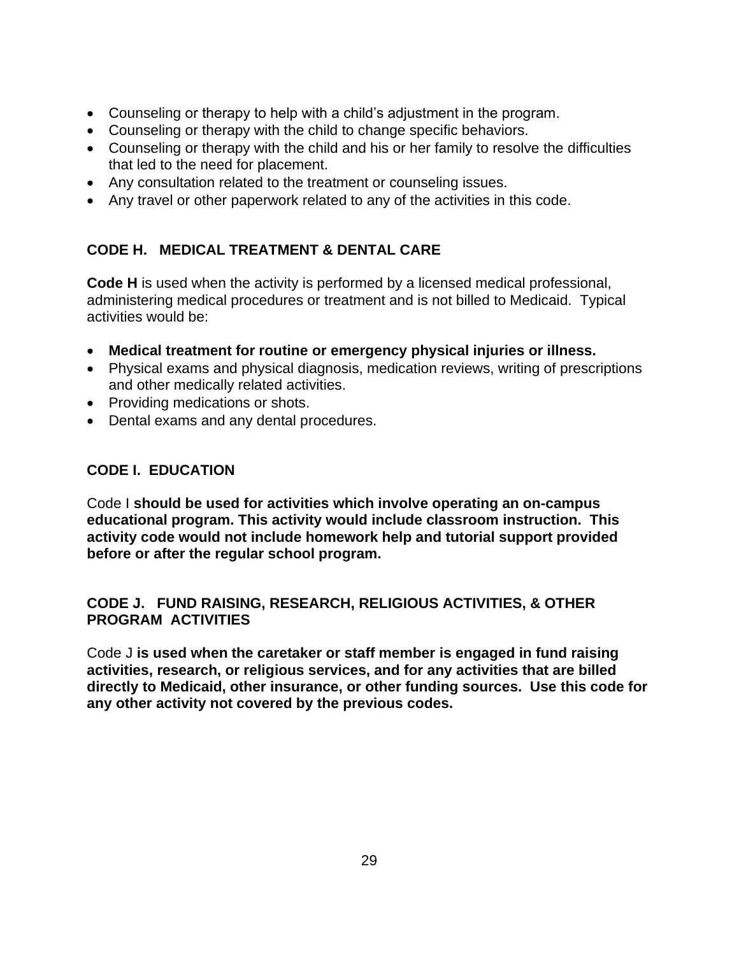- Counseling or therapy to help with a child's adjustment in the program.
- Counseling or therapy with the child to change specific behaviors.
- Counseling or therapy with the child and his or her family to resolve the difficulties that led to the need for placement.
- Any consultation related to the treatment or counseling issues.
- Any travel or other paperwork related to any of the activities in this code.

## **CODE H. MEDICAL TREATMENT & DENTAL CARE**

**Code H** is used when the activity is performed by a licensed medical professional, administering medical procedures or treatment and is not billed to Medicaid. Typical activities would be:

- **Medical treatment for routine or emergency physical injuries or illness.**
- Physical exams and physical diagnosis, medication reviews, writing of prescriptions and other medically related activities.
- Providing medications or shots.
- Dental exams and any dental procedures.

## **CODE I. EDUCATION**

Code I **should be used for activities which involve operating an on-campus educational program. This activity would include classroom instruction. This activity code would not include homework help and tutorial support provided before or after the regular school program.**

### **CODE J. FUND RAISING, RESEARCH, RELIGIOUS ACTIVITIES, & OTHER PROGRAM ACTIVITIES**

Code J **is used when the caretaker or staff member is engaged in fund raising activities, research, or religious services, and for any activities that are billed directly to Medicaid, other insurance, or other funding sources. Use this code for any other activity not covered by the previous codes.**